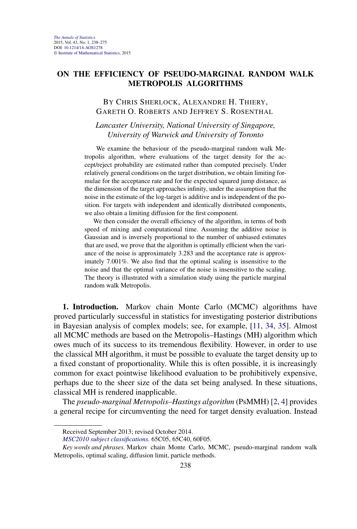# **ON THE EFFICIENCY OF PSEUDO-MARGINAL RANDOM WALK METROPOLIS ALGORITHMS**

# BY CHRIS SHERLOCK, ALEXANDRE H. THIERY, GARETH O. ROBERTS AND JEFFREY S. ROSENTHAL

*Lancaster University, National University of Singapore, University of Warwick and University of Toronto*

We examine the behaviour of the pseudo-marginal random walk Metropolis algorithm, where evaluations of the target density for the accept/reject probability are estimated rather than computed precisely. Under relatively general conditions on the target distribution, we obtain limiting formulae for the acceptance rate and for the expected squared jump distance, as the dimension of the target approaches infinity, under the assumption that the noise in the estimate of the log-target is additive and is independent of the position. For targets with independent and identically distributed components, we also obtain a limiting diffusion for the first component.

We then consider the overall efficiency of the algorithm, in terms of both speed of mixing and computational time. Assuming the additive noise is Gaussian and is inversely proportional to the number of unbiased estimates that are used, we prove that the algorithm is optimally efficient when the variance of the noise is approximately 3.283 and the acceptance rate is approximately 7.001%. We also find that the optimal scaling is insensitive to the noise and that the optimal variance of the noise is insensitive to the scaling. The theory is illustrated with a simulation study using the particle marginal random walk Metropolis.

**1. Introduction.** Markov chain Monte Carlo (MCMC) algorithms have proved particularly successful in statistics for investigating posterior distributions in Bayesian analysis of complex models; see, for example, [\[11,](#page-36-0) [34,](#page-37-0) [35\]](#page-37-0). Almost all MCMC methods are based on the Metropolis–Hastings (MH) algorithm which owes much of its success to its tremendous flexibility. However, in order to use the classical MH algorithm, it must be possible to evaluate the target density up to a fixed constant of proportionality. While this is often possible, it is increasingly common for exact pointwise likelihood evaluation to be prohibitively expensive, perhaps due to the sheer size of the data set being analysed. In these situations, classical MH is rendered inapplicable.

The *pseudo-marginal Metropolis–Hastings algorithm* (PsMMH) [\[2,](#page-35-0) [4\]](#page-35-0) provides a general recipe for circumventing the need for target density evaluation. Instead

Received September 2013; revised October 2014.

*[MSC2010 subject classifications.](http://www.ams.org/mathscinet/msc/msc2010.html)* 65C05, 65C40, 60F05.

*Key words and phrases.* Markov chain Monte Carlo, MCMC, pseudo-marginal random walk Metropolis, optimal scaling, diffusion limit, particle methods.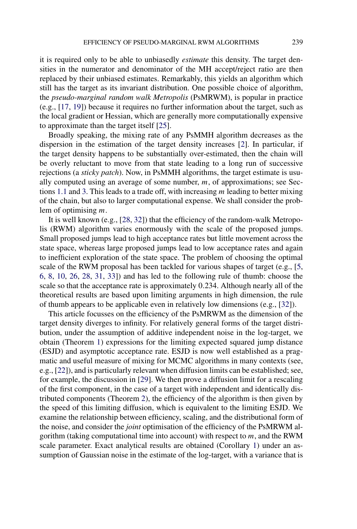it is required only to be able to unbiasedly *estimate* this density. The target densities in the numerator and denominator of the MH accept/reject ratio are then replaced by their unbiased estimates. Remarkably, this yields an algorithm which still has the target as its invariant distribution. One possible choice of algorithm, the *pseudo-marginal random walk Metropolis* (PsMRWM), is popular in practice (e.g., [\[17,](#page-36-0) [19\]](#page-36-0)) because it requires no further information about the target, such as the local gradient or Hessian, which are generally more computationally expensive to approximate than the target itself [\[25\]](#page-36-0).

Broadly speaking, the mixing rate of any PsMMH algorithm decreases as the dispersion in the estimation of the target density increases [\[2\]](#page-35-0). In particular, if the target density happens to be substantially over-estimated, then the chain will be overly reluctant to move from that state leading to a long run of successive rejections (a *sticky patch*). Now, in PsMMH algorithms, the target estimate is usually computed using an average of some number, *m*, of approximations; see Sections [1.1](#page-2-0) and [3.](#page-11-0) This leads to a trade off, with increasing *m* leading to better mixing of the chain, but also to larger computational expense. We shall consider the problem of optimising *m*.

It is well known (e.g., [\[28,](#page-37-0) [32\]](#page-37-0)) that the efficiency of the random-walk Metropolis (RWM) algorithm varies enormously with the scale of the proposed jumps. Small proposed jumps lead to high acceptance rates but little movement across the state space, whereas large proposed jumps lead to low acceptance rates and again to inefficient exploration of the state space. The problem of choosing the optimal scale of the RWM proposal has been tackled for various shapes of target (e.g., [\[5,](#page-35-0) [6,](#page-35-0) [8,](#page-36-0) [10,](#page-36-0) [26,](#page-36-0) [28,](#page-37-0) [31,](#page-37-0) [33\]](#page-37-0)) and has led to the following rule of thumb: choose the scale so that the acceptance rate is approximately 0*.*234. Although nearly all of the theoretical results are based upon limiting arguments in high dimension, the rule of thumb appears to be applicable even in relatively low dimensions (e.g., [\[32\]](#page-37-0)).

This article focusses on the efficiency of the PsMRWM as the dimension of the target density diverges to infinity. For relatively general forms of the target distribution, under the assumption of additive independent noise in the log-target, we obtain (Theorem [1\)](#page-6-0) expressions for the limiting expected squared jump distance (ESJD) and asymptotic acceptance rate. ESJD is now well established as a pragmatic and useful measure of mixing for MCMC algorithms in many contexts (see, e.g., [\[22\]](#page-36-0)), and is particularly relevant when diffusion limits can be established; see, for example, the discussion in [\[29\]](#page-37-0). We then prove a diffusion limit for a rescaling of the first component, in the case of a target with independent and identically distributed components (Theorem [2\)](#page-10-0), the efficiency of the algorithm is then given by the speed of this limiting diffusion, which is equivalent to the limiting ESJD. We examine the relationship between efficiency, scaling, and the distributional form of the noise, and consider the *joint* optimisation of the efficiency of the PsMRWM algorithm (taking computational time into account) with respect to *m*, and the RWM scale parameter. Exact analytical results are obtained (Corollary [1\)](#page-12-0) under an assumption of Gaussian noise in the estimate of the log-target, with a variance that is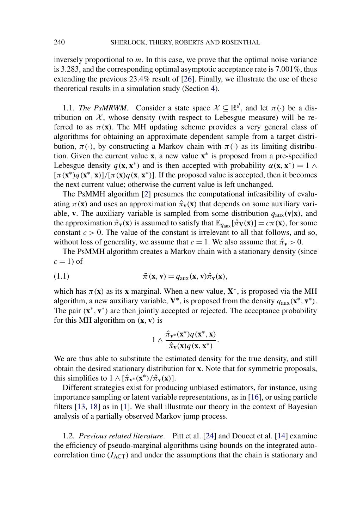<span id="page-2-0"></span>inversely proportional to *m*. In this case, we prove that the optimal noise variance is 3.283, and the corresponding optimal asymptotic acceptance rate is 7.001%, thus extending the previous 23.4% result of [\[26\]](#page-36-0). Finally, we illustrate the use of these theoretical results in a simulation study (Section [4\)](#page-15-0).

1.1. *The PsMRWM*. Consider a state space  $X \subseteq \mathbb{R}^d$ , and let  $\pi(\cdot)$  be a distribution on  $X$ , whose density (with respect to Lebesgue measure) will be referred to as  $\pi(\mathbf{x})$ . The MH updating scheme provides a very general class of algorithms for obtaining an approximate dependent sample from a target distribution,  $\pi(\cdot)$ , by constructing a Markov chain with  $\pi(\cdot)$  as its limiting distribution. Given the current value **x**, a new value **x**<sup>∗</sup> is proposed from a pre-specified Lebesgue density  $q(\mathbf{x}, \mathbf{x}^*)$  and is then accepted with probability  $\alpha(\mathbf{x}, \mathbf{x}^*) = 1 \wedge \alpha$  $[\pi(\mathbf{x}^*)q(\mathbf{x}^*, \mathbf{x})]/[\pi(\mathbf{x})q(\mathbf{x}, \mathbf{x}^*)]$ . If the proposed value is accepted, then it becomes the next current value; otherwise the current value is left unchanged.

The PsMMH algorithm [\[2\]](#page-35-0) presumes the computational infeasibility of evaluating  $\pi(\mathbf{x})$  and uses an approximation  $\hat{\pi}_{\mathbf{v}}(\mathbf{x})$  that depends on some auxiliary variable, **v**. The auxiliary variable is sampled from some distribution  $q_{\text{aux}}(\mathbf{v}|\mathbf{x})$ , and the approximation  $\hat{\pi}_{\bf{v}}(\bf{x})$  is assumed to satisfy that  $\mathbb{E}_{q_{\text{aux}}}[\hat{\pi}_{\bf{V}}(\bf{x})] = c\pi(\bf{x})$ , for some constant  $c > 0$ . The value of the constant is irrelevant to all that follows, and so, without loss of generality, we assume that  $c = 1$ . We also assume that  $\hat{\pi}_v > 0$ .

The PsMMH algorithm creates a Markov chain with a stationary density (since  $c = 1$ ) of

(1.1) 
$$
\tilde{\pi}(\mathbf{x}, \mathbf{v}) = q_{\text{aux}}(\mathbf{x}, \mathbf{v}) \hat{\pi}_{\mathbf{v}}(\mathbf{x}),
$$

which has  $\pi(\mathbf{x})$  as its **x** marginal. When a new value,  $\mathbf{X}^*$ , is proposed via the MH algorithm, a new auxiliary variable,  $V^*$ , is proposed from the density  $q_{\text{aux}}(x^*, v^*)$ . The pair *(***x**∗*,* **v**∗*)* are then jointly accepted or rejected. The acceptance probability for this MH algorithm on *(***x***,* **v***)* is

$$
1 \wedge \frac{\hat{\pi}_{\mathbf{v}^*}(\mathbf{x}^*)q(\mathbf{x}^*, \mathbf{x})}{\hat{\pi}_{\mathbf{v}}(\mathbf{x})q(\mathbf{x}, \mathbf{x}^*)}.
$$

We are thus able to substitute the estimated density for the true density, and still obtain the desired stationary distribution for **x**. Note that for symmetric proposals, this simplifies to  $1 \wedge [\hat{\pi}_{v^*}(x^*)/\hat{\pi}_{v}(x)].$ 

Different strategies exist for producing unbiased estimators, for instance, using importance sampling or latent variable representations, as in [\[16\]](#page-36-0), or using particle filters [\[13,](#page-36-0) [18\]](#page-36-0) as in [\[1\]](#page-35-0). We shall illustrate our theory in the context of Bayesian analysis of a partially observed Markov jump process.

1.2. *Previous related literature*. Pitt et al. [\[24\]](#page-36-0) and Doucet et al. [\[14\]](#page-36-0) examine the efficiency of pseudo-marginal algorithms using bounds on the integrated autocorrelation time  $(I_{\text{ACT}})$  and under the assumptions that the chain is stationary and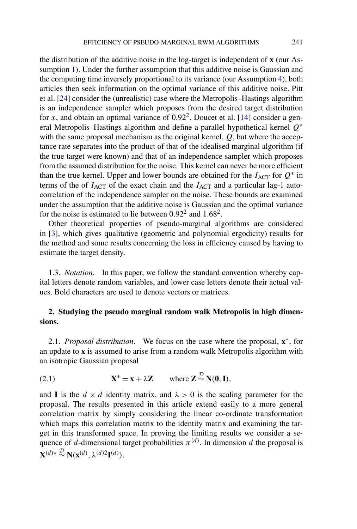<span id="page-3-0"></span>the distribution of the additive noise in the log-target is independent of **x** (our Assumption [1\)](#page-4-0). Under the further assumption that this additive noise is Gaussian and the computing time inversely proportional to its variance (our Assumption [4\)](#page-11-0), both articles then seek information on the optimal variance of this additive noise. Pitt et al. [\[24\]](#page-36-0) consider the (unrealistic) case where the Metropolis–Hastings algorithm is an independence sampler which proposes from the desired target distribution for *x*, and obtain an optimal variance of 0*.*922. Doucet et al. [\[14\]](#page-36-0) consider a general Metropolis–Hastings algorithm and define a parallel hypothetical kernel *Q*<sup>∗</sup> with the same proposal mechanism as the original kernel, *Q*, but where the acceptance rate separates into the product of that of the idealised marginal algorithm (if the true target were known) and that of an independence sampler which proposes from the assumed distribution for the noise. This kernel can never be more efficient than the true kernel. Upper and lower bounds are obtained for the  $I_{\text{ACT}}$  for  $Q^*$  in terms of the of  $I_{\text{ACT}}$  of the exact chain and the  $I_{\text{ACT}}$  and a particular lag-1 autocorrelation of the independence sampler on the noise. These bounds are examined under the assumption that the additive noise is Gaussian and the optimal variance for the noise is estimated to lie between 0*.*922 and 1*.*682.

Other theoretical properties of pseudo-marginal algorithms are considered in [\[3\]](#page-35-0), which gives qualitative (geometric and polynomial ergodicity) results for the method and some results concerning the loss in efficiency caused by having to estimate the target density.

1.3. *Notation*. In this paper, we follow the standard convention whereby capital letters denote random variables, and lower case letters denote their actual values. Bold characters are used to denote vectors or matrices.

# **2. Studying the pseudo marginal random walk Metropolis in high dimensions.**

2.1. *Proposal distribution*. We focus on the case where the proposal, **x**∗, for an update to **x** is assumed to arise from a random walk Metropolis algorithm with an isotropic Gaussian proposal

(2.1) 
$$
\mathbf{X}^* = \mathbf{x} + \lambda \mathbf{Z} \quad \text{where } \mathbf{Z} \sim \mathbf{N}(\mathbf{0}, \mathbf{I}),
$$

and **I** is the  $d \times d$  identity matrix, and  $\lambda > 0$  is the scaling parameter for the proposal. The results presented in this article extend easily to a more general correlation matrix by simply considering the linear co-ordinate transformation which maps this correlation matrix to the identity matrix and examining the target in this transformed space. In proving the limiting results we consider a sequence of *d*-dimensional target probabilities  $\pi^{(d)}$ . In dimension *d* the proposal is  $\mathbf{X}^{(d)*} \stackrel{\mathcal{D}}{\sim} \mathbf{N}(\mathbf{x}^{(d)}, \lambda^{(d)2} \mathbf{I}^{(d)}).$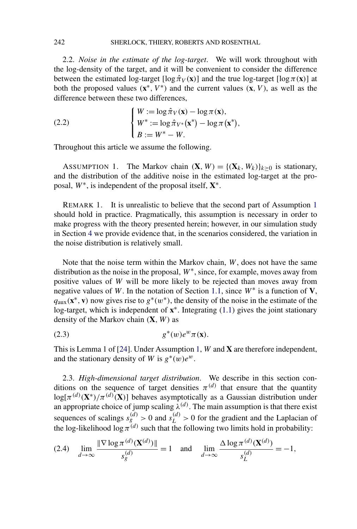<span id="page-4-0"></span>2.2. *Noise in the estimate of the log-target*. We will work throughout with the log-density of the target, and it will be convenient to consider the difference between the estimated log-target  $[\log \hat{\pi}_V(\mathbf{x})]$  and the true log-target  $[\log \pi(\mathbf{x})]$  at both the proposed values  $(\mathbf{x}^*, V^*)$  and the current values  $(\mathbf{x}, V)$ , as well as the difference between these two differences,

(2.2) 
$$
\begin{cases} W := \log \hat{\pi}_V(\mathbf{x}) - \log \pi(\mathbf{x}), \\ W^* := \log \hat{\pi}_{V^*}(\mathbf{x}^*) - \log \pi(\mathbf{x}^*), \\ B := W^* - W. \end{cases}
$$

Throughout this article we assume the following.

ASSUMPTION 1. The Markov chain  $(X, W) = \{(X_k, W_k)\}_{k>0}$  is stationary, and the distribution of the additive noise in the estimated log-target at the proposal, *W*∗, is independent of the proposal itself, **X**∗.

REMARK 1. It is unrealistic to believe that the second part of Assumption 1 should hold in practice. Pragmatically, this assumption is necessary in order to make progress with the theory presented herein; however, in our simulation study in Section [4](#page-15-0) we provide evidence that, in the scenarios considered, the variation in the noise distribution is relatively small.

Note that the noise term within the Markov chain, *W*, does not have the same distribution as the noise in the proposal, *W*∗, since, for example, moves away from positive values of *W* will be more likely to be rejected than moves away from negative values of *W*. In the notation of Section [1.1,](#page-2-0) since *W*<sup>∗</sup> is a function of **V**,  $q_{\text{aux}}(\mathbf{x}^*, \mathbf{v})$  now gives rise to  $g^*(w^*)$ , the density of the noise in the estimate of the log-target, which is independent of **x**∗. Integrating [\(1.1\)](#page-2-0) gives the joint stationary density of the Markov chain *(***X***,W)* as

$$
(2.3) \t\t\t g^*(w)e^w\pi(\mathbf{x}).
$$

This is Lemma 1 of [\[24\]](#page-36-0). Under Assumption 1, *W* and **X** are therefore independent, and the stationary density of *W* is  $g^*(w)e^w$ .

2.3. *High-dimensional target distribution*. We describe in this section conditions on the sequence of target densities  $\pi^{(d)}$  that ensure that the quantity  $log[\pi^{(d)}(\mathbf{X}^*)/\pi^{(d)}(\mathbf{X})]$  behaves asymptotically as a Gaussian distribution under an appropriate choice of jump scaling  $\lambda^{(d)}$ . The main assumption is that there exist sequences of scalings  $s_g^{(d)} > 0$  and  $s_L^{(d)} > 0$  for the gradient and the Laplacian of the log-likelihood  $\log \pi^{(d)}$  such that the following two limits hold in probability:

(2.4) 
$$
\lim_{d \to \infty} \frac{\|\nabla \log \pi^{(d)}(\mathbf{X}^{(d)})\|}{s_g^{(d)}} = 1 \text{ and } \lim_{d \to \infty} \frac{\Delta \log \pi^{(d)}(\mathbf{X}^{(d)})}{s_L^{(d)}} = -1,
$$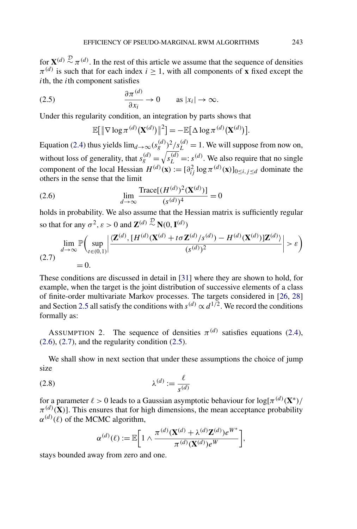<span id="page-5-0"></span>for  ${\bf X}^{(d)} \stackrel{D}{\sim} \pi^{(d)}$ . In the rest of this article we assume that the sequence of densities  $\pi^{(d)}$  is such that for each index  $i \geq 1$ , with all components of **x** fixed except the *i*th, the *i*th component satisfies

(2.5) 
$$
\frac{\partial \pi^{(d)}}{\partial x_i} \to 0 \quad \text{as } |x_i| \to \infty.
$$

Under this regularity condition, an integration by parts shows that

$$
\mathbb{E}[\|\nabla \log \pi^{(d)}(\mathbf{X}^{(d)})\|^2] = -\mathbb{E}[\Delta \log \pi^{(d)}(\mathbf{X}^{(d)})].
$$

Equation [\(2.4\)](#page-4-0) thus yields  $\lim_{d\to\infty} (s_g^{(d)})^2 / s_L^{(d)} = 1$ . We will suppose from now on, without loss of generality, that  $s_g^{(d)} = \sqrt{s_L^{(d)}} =: s^{(d)}$ . We also require that no single component of the local Hessian  $H^{(d)}(\mathbf{x}) := [\partial_{ij}^2 \log \pi^{(d)}(\mathbf{x})]_{0 \le i, j \le d}$  dominate the others in the sense that the limit

(2.6) 
$$
\lim_{d \to \infty} \frac{\text{Trace}[(H^{(d)})^2(\mathbf{X}^{(d)})]}{(s^{(d)})^4} = 0
$$

holds in probability. We also assume that the Hessian matrix is sufficiently regular so that for any  $\sigma^2$ ,  $\varepsilon > 0$  and  $\mathbf{Z}^{(d)} \stackrel{\mathcal{D}}{\sim} \mathbf{N}(0, \mathbf{I}^{(d)})$ 

$$
\lim_{d \to \infty} \mathbb{P}\left(\sup_{t \in (0,1)} \left| \frac{\langle \mathbf{Z}^{(d)}, [H^{(d)}(\mathbf{X}^{(d)} + t\sigma \mathbf{Z}^{(d)}/s^{(d)}) - H^{(d)}(\mathbf{X}^{(d)})]\mathbf{Z}^{(d)} \rangle}{(s^{(d)})^2} \right| > \varepsilon \right)
$$
\n(2.7)

These conditions are discussed in detail in [\[31\]](#page-37-0) where they are shown to hold, for example, when the target is the joint distribution of successive elements of a class of finite-order multivariate Markov processes. The targets considered in [\[26,](#page-36-0) [28\]](#page-37-0) and Section [2.5](#page-9-0) all satisfy the conditions with  $s^{(d)} \propto d^{1/2}$ . We record the conditions formally as:

ASSUMPTION 2. The sequence of densities  $\pi^{(d)}$  satisfies equations [\(2.4\)](#page-4-0),  $(2.6)$ ,  $(2.7)$ , and the regularity condition  $(2.5)$ .

We shall show in next section that under these assumptions the choice of jump size

$$
\lambda^{(d)} := \frac{\ell}{s^{(d)}}
$$

for a parameter  $\ell > 0$  leads to a Gaussian asymptotic behaviour for  $\log[\pi^{(d)}(\mathbf{X}^*)]$  $\pi^{(d)}(\mathbf{X})$ . This ensures that for high dimensions, the mean acceptance probability  $\alpha^{(d)}(\ell)$  of the MCMC algorithm,

$$
\alpha^{(d)}(\ell) := \mathbb{E}\bigg[1 \wedge \frac{\pi^{(d)}(\mathbf{X}^{(d)} + \lambda^{(d)}\mathbf{Z}^{(d)})e^{W^*}}{\pi^{(d)}(\mathbf{X}^{(d)})e^W}\bigg],
$$

stays bounded away from zero and one.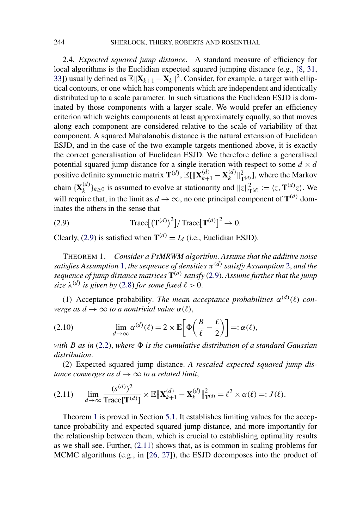<span id="page-6-0"></span>2.4. *Expected squared jump distance*. A standard measure of efficiency for local algorithms is the Euclidian expected squared jumping distance (e.g., [\[8,](#page-36-0) [31,](#page-37-0) [33\]](#page-37-0)) usually defined as  $\mathbb{E} \|\mathbf{X}_{k+1} - \mathbf{X}_k\|^2$ . Consider, for example, a target with elliptical contours, or one which has components which are independent and identically distributed up to a scale parameter. In such situations the Euclidean ESJD is dominated by those components with a larger scale. We would prefer an efficiency criterion which weights components at least approximately equally, so that moves along each component are considered relative to the scale of variability of that component. A squared Mahalanobis distance is the natural extension of Euclidean ESJD, and in the case of the two example targets mentioned above, it is exactly the correct generalisation of Euclidean ESJD. We therefore define a generalised potential squared jump distance for a single iteration with respect to some  $d \times d$ positive definite symmetric matrix  $\mathbf{T}^{(d)}$ ,  $\mathbb{E}[\|\mathbf{X}_{k+1}^{(d)} - \mathbf{X}_k^{(d)}\|_{\mathbf{T}^{(d)}}^2]$ , where the Markov chain  ${\mathbf X}_k^{(d)}\}_{k\geq0}$  is assumed to evolve at stationarity and  $||z||^2_{\mathbf{T}^{(d)}} := \langle z, \mathbf{T}^{(d)}z \rangle$ . We will require that, in the limit as  $d \rightarrow \infty$ , no one principal component of  $\mathbf{T}^{(d)}$  dominates the others in the sense that

(2.9) 
$$
\text{Trace}[(\mathbf{T}^{(d)})^2]/\text{Trace}[\mathbf{T}^{(d)}]^2 \to 0.
$$

Clearly, (2.9) is satisfied when  $\mathbf{T}^{(d)} = I_d$  (i.e., Euclidian ESJD).

THEOREM 1. *Consider a PsMRWM algorithm*. *Assume that the additive noise satisfies Assumption* [1,](#page-4-0) *the sequence of densities π(d) satisfy Assumption* [2,](#page-5-0) *and the sequence of jump distance matrices* **T***(d) satisfy* (2.9). *Assume further that the jump size*  $\lambda^{(d)}$  *is given by* [\(2.8\)](#page-5-0) *for some fixed*  $\ell > 0$ .

(1) Acceptance probability. *The mean acceptance probabilities*  $\alpha^{(d)}(\ell)$  *converge as*  $d \rightarrow \infty$  *to a nontrivial value*  $\alpha(\ell)$ ,

(2.10) 
$$
\lim_{d \to \infty} \alpha^{(d)}(\ell) = 2 \times \mathbb{E}\bigg[\Phi\bigg(\frac{B}{\ell} - \frac{\ell}{2}\bigg)\bigg] =: \alpha(\ell),
$$

*with B as in* [\(2.2\)](#page-4-0), *where is the cumulative distribution of a standard Gaussian distribution*.

(2) Expected squared jump distance. *A rescaled expected squared jump distance converges as*  $d \rightarrow \infty$  *to a related limit,* 

$$
(2.11) \qquad \lim_{d \to \infty} \frac{(s^{(d)})^2}{\text{Trace}[\mathbf{T}^{(d)}]} \times \mathbb{E} \|\mathbf{X}_{k+1}^{(d)} - \mathbf{X}_k^{(d)}\|_{\mathbf{T}^{(d)}}^2 = \ell^2 \times \alpha(\ell) =: J(\ell).
$$

Theorem 1 is proved in Section [5.1.](#page-18-0) It establishes limiting values for the acceptance probability and expected squared jump distance, and more importantly for the relationship between them, which is crucial to establishing optimality results as we shall see. Further, (2.11) shows that, as is common in scaling problems for MCMC algorithms (e.g., in [\[26,](#page-36-0) [27\]](#page-36-0)), the ESJD decomposes into the product of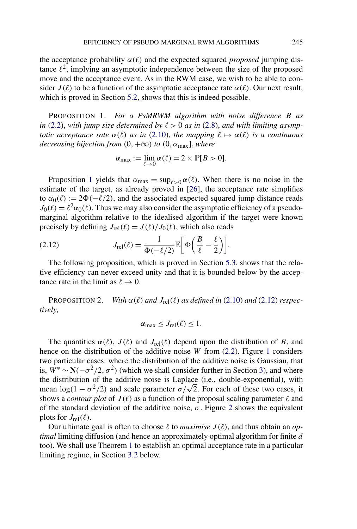<span id="page-7-0"></span>the acceptance probability  $\alpha(\ell)$  and the expected squared *proposed* jumping distance  $\ell^2$ , implying an asymptotic independence between the size of the proposed move and the acceptance event. As in the RWM case, we wish to be able to consider  $J(\ell)$  to be a function of the asymptotic acceptance rate  $\alpha(\ell)$ . Our next result, which is proved in Section [5.2,](#page-20-0) shows that this is indeed possible.

PROPOSITION 1. *For a PsMRWM algorithm with noise difference B as in* [\(2.2\)](#page-4-0), with jump size determined by  $\ell > 0$  as in [\(2.8\)](#page-5-0), and with limiting asymp*totic acceptance rate*  $\alpha(\ell)$  *as in* [\(2.10\)](#page-6-0), *the mapping*  $\ell \mapsto \alpha(\ell)$  *is a continuous decreasing bijection from*  $(0, +\infty)$  *to*  $(0, \alpha_{\text{max}}]$ *, where* 

$$
\alpha_{\max} := \lim_{\ell \to 0} \alpha(\ell) = 2 \times \mathbb{P}[B > 0].
$$

Proposition 1 yields that  $\alpha_{\text{max}} = \sup_{\ell > 0} \alpha(\ell)$ . When there is no noise in the estimate of the target, as already proved in [\[26\]](#page-36-0), the acceptance rate simplifies to  $\alpha_0(\ell) := 2\Phi(-\ell/2)$ , and the associated expected squared jump distance reads  $J_0(\ell) = \ell^2 \alpha_0(\ell)$ . Thus we may also consider the asymptotic efficiency of a pseudomarginal algorithm relative to the idealised algorithm if the target were known precisely by defining  $J_{rel}(\ell) = J(\ell)/J_0(\ell)$ , which also reads

(2.12) 
$$
J_{\text{rel}}(\ell) = \frac{1}{\Phi(-\ell/2)} \mathbb{E}\bigg[\Phi\bigg(\frac{B}{\ell} - \frac{\ell}{2}\bigg)\bigg].
$$

The following proposition, which is proved in Section [5.3,](#page-21-0) shows that the relative efficiency can never exceed unity and that it is bounded below by the acceptance rate in the limit as  $\ell \to 0$ .

PROPOSITION 2. *With*  $\alpha(\ell)$  *and*  $J_{rel}(\ell)$  *as defined in* [\(2.10\)](#page-6-0) *and* (2.12) *respectively*,

$$
\alpha_{\max} \leq J_{\text{rel}}(\ell) \leq 1.
$$

The quantities  $\alpha(\ell)$ ,  $J(\ell)$  and  $J_{rel}(\ell)$  depend upon the distribution of *B*, and hence on the distribution of the additive noise *W* from [\(2.2\)](#page-4-0). Figure [1](#page-8-0) considers two particular cases: where the distribution of the additive noise is Gaussian, that is,  $\mathbf{W}^* \sim \mathbf{N}(-\sigma^2/2, \sigma^2)$  (which we shall consider further in Section [3\)](#page-11-0), and where the distribution of the additive noise is Laplace (i.e., double-exponential), with mean  $\log(1 - \sigma^2/2)$  and scale parameter  $\sigma/\sqrt{2}$ . For each of these two cases, it shows a *contour plot* of  $J(\ell)$  as a function of the proposal scaling parameter  $\ell$  and of the standard deviation of the additive noise,  $\sigma$ . Figure [2](#page-8-0) shows the equivalent plots for  $J_{\text{rel}}(\ell)$ .

Our ultimate goal is often to choose  $\ell$  to *maximise*  $J(\ell)$ , and thus obtain an *optimal* limiting diffusion (and hence an approximately optimal algorithm for finite *d* too). We shall use Theorem [1](#page-6-0) to establish an optimal acceptance rate in a particular limiting regime, in Section [3.2](#page-12-0) below.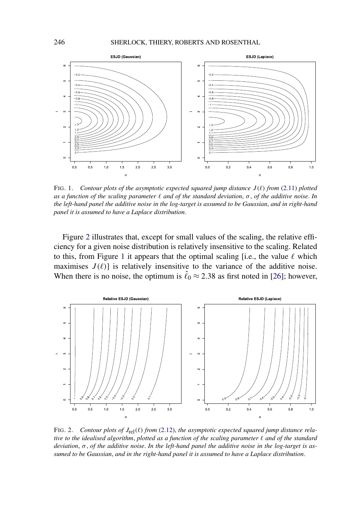<span id="page-8-0"></span>

FIG. 1. *Contour plots of the asymptotic expected squared jump distance*  $J(\ell)$  *from* [\(2.11\)](#page-6-0) *plotted as a function of the scaling parameter and of the standard deviation*, *σ* , *of the additive noise*. *In the left-hand panel the additive noise in the log-target is assumed to be Gaussian*, *and in right-hand panel it is assumed to have a Laplace distribution*.

Figure 2 illustrates that, except for small values of the scaling, the relative efficiency for a given noise distribution is relatively insensitive to the scaling. Related to this, from Figure 1 it appears that the optimal scaling [i.e., the value  $\ell$  which maximises  $J(\ell)$  is relatively insensitive to the variance of the additive noise. When there is no noise, the optimum is  $\hat{\ell}_0 \approx 2.38$  as first noted in [\[26\]](#page-36-0); however,



FIG. 2. *Contour plots of*  $J_{rel}(\ell)$  *from* [\(2.12\)](#page-7-0), *the asymptotic expected squared jump distance relative to the idealised algorithm*, *plotted as a function of the scaling parameter and of the standard deviation*, *σ* , *of the additive noise*. *In the left-hand panel the additive noise in the log-target is assumed to be Gaussian*, *and in the right-hand panel it is assumed to have a Laplace distribution*.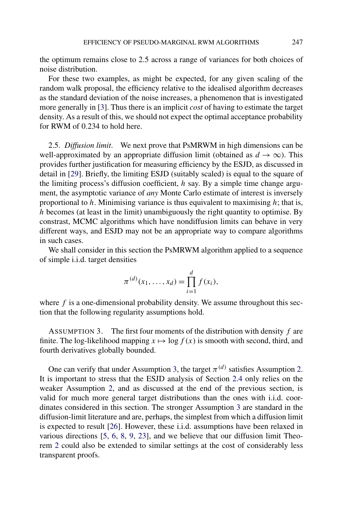<span id="page-9-0"></span>the optimum remains close to 2*.*5 across a range of variances for both choices of noise distribution.

For these two examples, as might be expected, for any given scaling of the random walk proposal, the efficiency relative to the idealised algorithm decreases as the standard deviation of the noise increases, a phenomenon that is investigated more generally in [\[3\]](#page-35-0). Thus there is an implicit *cost* of having to estimate the target density. As a result of this, we should not expect the optimal acceptance probability for RWM of 0*.*234 to hold here.

2.5. *Diffusion limit*. We next prove that PsMRWM in high dimensions can be well-approximated by an appropriate diffusion limit (obtained as  $d \rightarrow \infty$ ). This provides further justification for measuring efficiency by the ESJD, as discussed in detail in [\[29\]](#page-37-0). Briefly, the limiting ESJD (suitably scaled) is equal to the square of the limiting process's diffusion coefficient, *h* say. By a simple time change argument, the asymptotic variance of *any* Monte Carlo estimate of interest is inversely proportional to *h*. Minimising variance is thus equivalent to maximising *h*; that is, *h* becomes (at least in the limit) unambiguously the right quantity to optimise. By constrast, MCMC algorithms which have nondiffusion limits can behave in very different ways, and ESJD may not be an appropriate way to compare algorithms in such cases.

We shall consider in this section the PsMRWM algorithm applied to a sequence of simple i.i.d. target densities

$$
\pi^{(d)}(x_1,\ldots,x_d) = \prod_{i=1}^d f(x_i),
$$

where *f* is a one-dimensional probability density. We assume throughout this section that the following regularity assumptions hold.

ASSUMPTION 3. The first four moments of the distribution with density *f* are finite. The log-likelihood mapping  $x \mapsto \log f(x)$  is smooth with second, third, and fourth derivatives globally bounded.

One can verify that under Assumption 3, the target  $\pi^{(d)}$  satisfies Assumption [2.](#page-5-0) It is important to stress that the ESJD analysis of Section [2.4](#page-6-0) only relies on the weaker Assumption [2,](#page-5-0) and as discussed at the end of the previous section, is valid for much more general target distributions than the ones with i.i.d. coordinates considered in this section. The stronger Assumption 3 are standard in the diffusion-limit literature and are, perhaps, the simplest from which a diffusion limit is expected to result [\[26\]](#page-36-0). However, these i.i.d. assumptions have been relaxed in various directions [\[5,](#page-35-0) [6,](#page-35-0) [8,](#page-36-0) [9,](#page-36-0) [23\]](#page-36-0), and we believe that our diffusion limit Theorem [2](#page-10-0) could also be extended to similar settings at the cost of considerably less transparent proofs.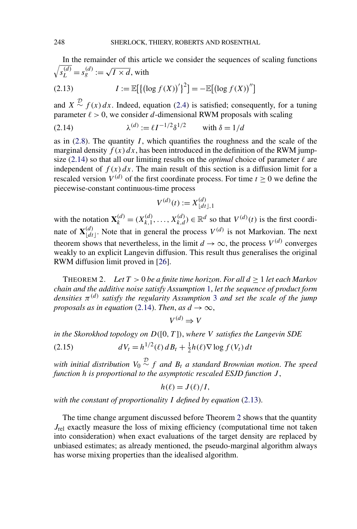<span id="page-10-0"></span>In the remainder of this article we consider the sequences of scaling functions  $\sqrt{s_L^{(d)}} = s_g^{(d)} := \sqrt{I \times d}$ , with

(2.13) 
$$
I := \mathbb{E}[(\log f(X))']^{2}] = -\mathbb{E}[(\log f(X))'']
$$

and  $X \stackrel{D}{\sim} f(x) dx$ . Indeed, equation [\(2.4\)](#page-4-0) is satisfied; consequently, for a tuning parameter  $\ell > 0$ , we consider *d*-dimensional RWM proposals with scaling

(2.14) 
$$
\lambda^{(d)} := \ell I^{-1/2} \delta^{1/2} \quad \text{with } \delta = 1/d
$$

as in  $(2.8)$ . The quantity *I*, which quantifies the roughness and the scale of the marginal density  $f(x) dx$ , has been introduced in the definition of the RWM jumpsize (2.14) so that all our limiting results on the *optimal* choice of parameter  $\ell$  are independent of  $f(x) dx$ . The main result of this section is a diffusion limit for a rescaled version  $V^{(d)}$  of the first coordinate process. For time  $t > 0$  we define the piecewise-constant continuous-time process

$$
V^{(d)}(t) := X_{\lfloor dt \rfloor, 1}^{(d)}
$$

with the notation  $\mathbf{X}_k^{(d)} = (X_{k,1}^{(d)}, \dots, X_{k,d}^{(d)}) \in \mathbb{R}^d$  so that  $V^{(d)}(t)$  is the first coordinate of  $\mathbf{X}_{\lfloor dt \rfloor}^{(d)}$ . Note that in general the process  $V^{(d)}$  is not Markovian. The next theorem shows that nevertheless, in the limit  $d \rightarrow \infty$ , the process  $V^{(d)}$  converges weakly to an explicit Langevin diffusion. This result thus generalises the original RWM diffusion limit proved in [\[26\]](#page-36-0).

THEOREM 2. *Let T >* 0 *be a finite time horizon*. *For all d* ≥ 1 *let each Markov chain and the additive noise satisfy Assumption* [1,](#page-4-0) *let the sequence of product form densities*  $\pi^{(d)}$  *satisfy the regularity Assumption* [3](#page-9-0) *and set the scale of the jump proposals as in equation* (2.14). *Then, as*  $d \rightarrow \infty$ *,* 

$$
V^{(d)} \Rightarrow V
$$

*in the Skorokhod topology on D(*[0*, T* ]*)*, *where V satisfies the Langevin SDE*

(2.15) 
$$
dV_t = h^{1/2}(\ell) dB_t + \frac{1}{2}h(\ell)\nabla \log f(V_t) dt
$$

 $\omega$  *with initial distribution*  $V_0 \stackrel{D}{\sim} f$  *and*  $B_t$  *a standard Brownian motion. The speed function h is proportional to the asymptotic rescaled ESJD function J* ,

$$
h(\ell) = J(\ell)/I,
$$

*with the constant of proportionality I defined by equation* (2.13).

The time change argument discussed before Theorem 2 shows that the quantity *J*<sub>rel</sub> exactly measure the loss of mixing efficiency (computational time not taken into consideration) when exact evaluations of the target density are replaced by unbiased estimates; as already mentioned, the pseudo-marginal algorithm always has worse mixing properties than the idealised algorithm.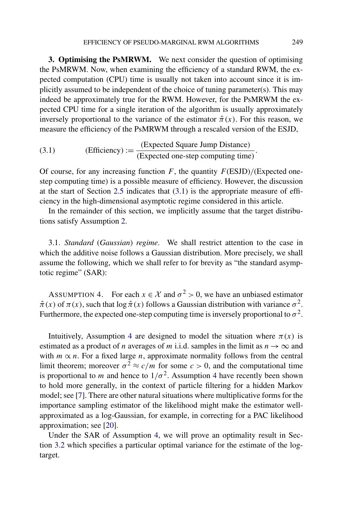<span id="page-11-0"></span>**3. Optimising the PsMRWM.** We next consider the question of optimising the PsMRWM. Now, when examining the efficiency of a standard RWM, the expected computation (CPU) time is usually not taken into account since it is implicitly assumed to be independent of the choice of tuning parameter(s). This may indeed be approximately true for the RWM. However, for the PsMRWM the expected CPU time for a single iteration of the algorithm is usually approximately inversely proportional to the variance of the estimator  $\hat{\pi}(x)$ . For this reason, we measure the efficiency of the PsMRWM through a rescaled version of the ESJD,

(3.1) (Efficiency) := 
$$
\frac{\text{(Expected Square Jump Distance)}}{\text{(Expected one-step computing time)}}.
$$

Of course, for any increasing function  $F$ , the quantity  $F(\text{ESJD})/(\text{Expected one-})$ step computing time) is a possible measure of efficiency. However, the discussion at the start of Section [2.5](#page-9-0) indicates that (3.1) is the appropriate measure of efficiency in the high-dimensional asymptotic regime considered in this article.

In the remainder of this section, we implicitly assume that the target distributions satisfy Assumption [2.](#page-5-0)

3.1. *Standard* (*Gaussian*) *regime*. We shall restrict attention to the case in which the additive noise follows a Gaussian distribution. More precisely, we shall assume the following, which we shall refer to for brevity as "the standard asymptotic regime" (SAR):

ASSUMPTION 4. For each  $x \in \mathcal{X}$  and  $\sigma^2 > 0$ , we have an unbiased estimator  $\hat{\pi}(x)$  of  $\pi(x)$ , such that  $\log \hat{\pi}(x)$  follows a Gaussian distribution with variance  $\sigma^2$ . Furthermore, the expected one-step computing time is inversely proportional to  $\sigma^2$ .

Intuitively, Assumption 4 are designed to model the situation where  $\pi(x)$  is estimated as a product of *n* averages of *m* i.i.d. samples in the limit as  $n \to \infty$  and with  $m \propto n$ . For a fixed large *n*, approximate normality follows from the central limit theorem; moreover  $\sigma^2 \approx c/m$  for some  $c > 0$ , and the computational time is proportional to *m* and hence to  $1/\sigma^2$ . Assumption 4 have recently been shown to hold more generally, in the context of particle filtering for a hidden Markov model; see [\[7\]](#page-36-0). There are other natural situations where multiplicative forms for the importance sampling estimator of the likelihood might make the estimator wellapproximated as a log-Gaussian, for example, in correcting for a PAC likelihood approximation; see [\[20\]](#page-36-0).

Under the SAR of Assumption 4, we will prove an optimality result in Section [3.2](#page-12-0) which specifies a particular optimal variance for the estimate of the logtarget.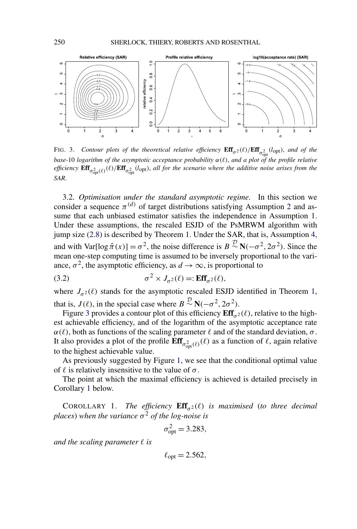<span id="page-12-0"></span>

FIG. 3. *Contour plots of the theoretical relative efficiency*  $\textbf{Eff}_{\sigma^2}(\ell)/\textbf{Eff}_{\sigma^2_{\text{opt}}}^2(l_{\text{opt}})$ *, and of the base-*10 *logarithm of the asymptotic acceptance probability*  $\alpha(\ell)$ , *and a plot of the profile relative efficiency*  $\textbf{Eff}_{\sigma_{\text{opt}}^2(\ell)}(\ell)/\textbf{Eff}_{\sigma_{\text{opt}}^2}(l_{\text{opt}})$ , all for the scenario where the additive noise arises from the *SAR*.

3.2. *Optimisation under the standard asymptotic regime*. In this section we consider a sequence  $\pi^{(d)}$  of target distributions satisfying Assumption [2](#page-5-0) and assume that each unbiased estimator satisfies the independence in Assumption [1.](#page-4-0) Under these assumptions, the rescaled ESJD of the PsMRWM algorithm with jump size [\(2.8\)](#page-5-0) is described by Theorem [1.](#page-6-0) Under the SAR, that is, Assumption [4,](#page-11-0) and with  $Var[log \hat{\pi}(x)] = \sigma^2$ , the noise difference is  $B \sim N(-\sigma^2, 2\sigma^2)$ . Since the mean one-step computing time is assumed to be inversely proportional to the variance,  $\sigma^2$ , the asymptotic efficiency, as  $d \to \infty$ , is proportional to

(3.2) 
$$
\sigma^2 \times J_{\sigma^2}(\ell) =: \text{Eff}_{\sigma^2}(\ell),
$$

where  $J_{\sigma^2}(\ell)$  stands for the asymptotic rescaled ESJD identified in Theorem [1,](#page-6-0) that is,  $J(\ell)$ , in the special case where  $B \sim N(-\sigma^2, 2\sigma^2)$ .

Figure 3 provides a contour plot of this efficiency  $\mathbf{Eff}_{\alpha^2}(\ell)$ , relative to the highest achievable efficiency, and of the logarithm of the asymptotic acceptance rate  $\alpha(\ell)$ , both as functions of the scaling parameter  $\ell$  and of the standard deviation,  $\sigma$ . It also provides a plot of the profile  $\text{Eff}_{\sigma_{\text{opt}}^2(\ell)}(\ell)$  as a function of  $\ell$ , again relative to the highest achievable value.

As previously suggested by Figure [1,](#page-8-0) we see that the conditional optimal value of  $\ell$  is relatively insensitive to the value of  $\sigma$ .

The point at which the maximal efficiency is achieved is detailed precisely in Corollary 1 below.

COROLLARY 1. *The efficiency*  $\mathbf{Eff}_{\sigma^2}(\ell)$  *is maximised (to three decimal places*) when the variance  $\sigma^2$  *of the log-noise is* 

$$
\sigma_{\rm opt}^2 = 3.283,
$$

*and the scaling parameter*  $\ell$  *is* 

 $\ell_{\text{opt}} = 2.562$ ,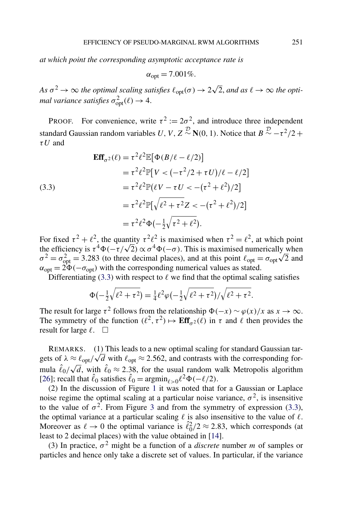<span id="page-13-0"></span>*at which point the corresponding asymptotic acceptance rate is*

$$
\alpha_{\rm opt} = 7.001\%.
$$

 $As \sigma^2 \to \infty$  *the optimal scaling satisfies*  $\ell_{opt}(\sigma) \to 2\sqrt{2}$ , and as  $\ell \to \infty$  *the optimal variance satisfies*  $\sigma_{\text{opt}}^2(\ell) \rightarrow 4$ .

PROOF. For convenience, write  $\tau^2 := 2\sigma^2$ , and introduce three independent standard Gaussian random variables *U*, *V*,  $Z \sim N(0, 1)$ . Notice that  $B \sim -\tau^2/2 +$ *τ U* and

(3.3)  
\n
$$
\begin{aligned}\n\mathbf{Eff}_{\sigma^2}(\ell) &= \tau^2 \ell^2 \mathbb{E} [\Phi(B/\ell - \ell/2)] \\
&= \tau^2 \ell^2 \mathbb{P} [V < (-\tau^2/2 + \tau U)/\ell - \ell/2] \\
&= \tau^2 \ell^2 \mathbb{P} (\ell V - \tau U < -(\tau^2 + \ell^2)/2] \\
&= \tau^2 \ell^2 \mathbb{P} [\sqrt{\ell^2 + \tau^2} Z < -(\tau^2 + \ell^2)/2] \\
&= \tau^2 \ell^2 \Phi(-\frac{1}{2}\sqrt{\tau^2 + \ell^2}).\n\end{aligned}
$$

For fixed  $\tau^2 + \ell^2$ , the quantity  $\tau^2 \ell^2$  is maximised when  $\tau^2 = \ell^2$ , at which point For fixed  $\tau^2 + \ell^2$ , the quantity  $\tau^2 \ell^2$  is maximised when  $\tau^2 = \ell^2$ , at which point the efficiency is  $\tau^4 \Phi(-\tau/\sqrt{2}) \propto \sigma^4 \Phi(-\sigma)$ . This is maximised numerically when *σ*<sup>2</sup> = *σ*<sub> $\sigma$ </sub><sup>2</sup> = 3.283 (to three decimal places), and at this point  $\ell_{opt} = \sigma_{opt} \sqrt{2}$  and  $\sigma^2 = \sigma_{opt}^2 = 3.283$  (to three decimal places), and at this point  $\ell_{opt} = \sigma_{opt} \sqrt{2}$  and  $\alpha_{opt} = 2\Phi(-\sigma_{opt})$  with the corresponding numerical values as stated.

Differentiating (3.3) with respect to  $\ell$  we find that the optimal scaling satisfies

$$
\Phi(-\frac{1}{2}\sqrt{\ell^2 + \tau^2}) = \frac{1}{4}\ell^2\varphi(-\frac{1}{2}\sqrt{\ell^2 + \tau^2})/\sqrt{\ell^2 + \tau^2}.
$$

The result for large  $\tau^2$  follows from the relationship  $\Phi(-x) \sim \varphi(x)/x$  as  $x \to \infty$ . The symmetry of the function  $(\ell^2, \tau^2) \mapsto \text{Eff}_{\tau^2}(\ell)$  in  $\tau$  and  $\ell$  then provides the result for large  $\ell$ .  $\Box$ 

REMARKS. (1) This leads to a new optimal scaling for standard Gaussian tar-REMARKS. (1) This leads to a new optimal scaling for standard Gaussian targets of  $\lambda \approx \ell_{\text{opt}}/\sqrt{d}$  with  $\ell_{\text{opt}} \approx 2.562$ , and contrasts with the corresponding forgets or  $\lambda \approx \epsilon_{\rm opt}/\sqrt{d}$ , with  $\ell_0 \approx 2.38$ , for the usual random walk Metropolis algorithm<br>mula  $\ell_0/\sqrt{d}$ , with  $\ell_0 \approx 2.38$ , for the usual random walk Metropolis algorithm [\[26\]](#page-36-0); recall that  $\hat{\ell}_0$  satisfies  $\hat{\ell}_0 = \operatorname{argmin}_{\ell > 0} \ell^2 \Phi(-\ell/2)$ .

(2) In the discussion of Figure [1](#page-8-0) it was noted that for a Gaussian or Laplace noise regime the optimal scaling at a particular noise variance,  $\sigma^2$ , is insensitive to the value of  $\sigma^2$ . From Figure [3](#page-12-0) and from the symmetry of expression (3.3), the optimal variance at a particular scaling  $\ell$  is also insensitive to the value of  $\ell$ . Moreover as  $\ell \to 0$  the optimal variance is  $\hat{\ell}_{0}^{2}/2 \approx 2.83$ , which corresponds (at least to 2 decimal places) with the value obtained in [\[14\]](#page-36-0).

(3) In practice,  $\sigma^2$  might be a function of a *discrete* number *m* of samples or particles and hence only take a discrete set of values. In particular, if the variance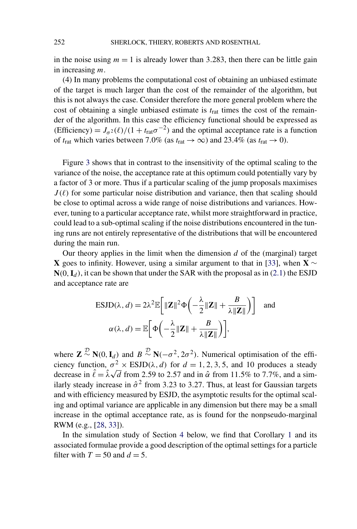in the noise using  $m = 1$  is already lower than 3.283, then there can be little gain in increasing *m*.

(4) In many problems the computational cost of obtaining an unbiased estimate of the target is much larger than the cost of the remainder of the algorithm, but this is not always the case. Consider therefore the more general problem where the cost of obtaining a single unbiased estimate is *t*rat times the cost of the remainder of the algorithm. In this case the efficiency functional should be expressed as (Efficiency) =  $J_{\sigma^2}(\ell)/(1 + t_{\text{rat}}\sigma^{-2})$  and the optimal acceptance rate is a function of  $t_{\text{rat}}$  which varies between 7.0% (as  $t_{\text{rat}} \to \infty$ ) and 23.4% (as  $t_{\text{rat}} \to 0$ ).

Figure [3](#page-12-0) shows that in contrast to the insensitivity of the optimal scaling to the variance of the noise, the acceptance rate at this optimum could potentially vary by a factor of 3 or more. Thus if a particular scaling of the jump proposals maximises  $J(\ell)$  for some particular noise distribution and variance, then that scaling should be close to optimal across a wide range of noise distributions and variances. However, tuning to a particular acceptance rate, whilst more straightforward in practice, could lead to a sub-optimal scaling if the noise distributions encountered in the tuning runs are not entirely representative of the distributions that will be encountered during the main run.

Our theory applies in the limit when the dimension *d* of the (marginal) target **X** goes to infinity. However, using a similar argument to that in [\[33\]](#page-37-0), when **X** ∼  $N(0, I_d)$ , it can be shown that under the SAR with the proposal as in [\(2.1\)](#page-3-0) the ESJD and acceptance rate are

$$
\text{ESJD}(\lambda, d) = 2\lambda^2 \mathbb{E}\bigg[\|\mathbf{Z}\|^2 \Phi\bigg(-\frac{\lambda}{2}\|\mathbf{Z}\| + \frac{B}{\lambda \|\mathbf{Z}\|}\bigg)\bigg] \text{ and }
$$

$$
\alpha(\lambda, d) = \mathbb{E}\bigg[\Phi\bigg(-\frac{\lambda}{2}\|\mathbf{Z}\| + \frac{B}{\lambda \|\mathbf{Z}\|}\bigg)\bigg],
$$

where  $\mathbf{Z} \stackrel{D}{\sim} \mathbf{N}(0, \mathbf{I}_d)$  and  $B \stackrel{D}{\sim} \mathbf{N}(-\sigma^2, 2\sigma^2)$ . Numerical optimisation of the efficiency function,  $\sigma^2 \times \text{ESJD}(\lambda, d)$  for  $d = 1, 2, 3, 5$ , and 10 produces a steady decrease in  $\hat{\ell} = \hat{\lambda}\sqrt{d}$  from 2.59 to 2.57 and in  $\hat{\alpha}$  from 11.5% to 7.7%, and a similarly steady increase in  $\hat{\sigma}^2$  from 3.23 to 3.27. Thus, at least for Gaussian targets and with efficiency measured by ESJD, the asymptotic results for the optimal scaling and optimal variance are applicable in any dimension but there may be a small increase in the optimal acceptance rate, as is found for the nonpseudo-marginal RWM (e.g., [\[28,](#page-37-0) [33\]](#page-37-0)).

In the simulation study of Section [4](#page-15-0) below, we find that Corollary [1](#page-12-0) and its associated formulae provide a good description of the optimal settings for a particle filter with  $T = 50$  and  $d = 5$ .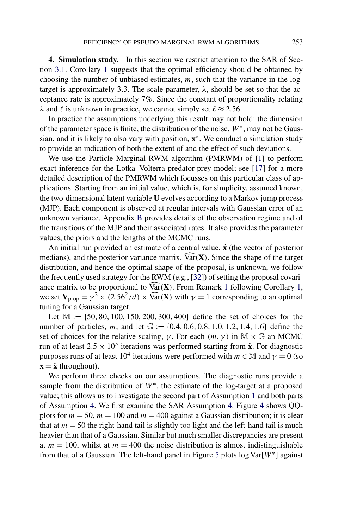<span id="page-15-0"></span>**4. Simulation study.** In this section we restrict attention to the SAR of Section [3.1.](#page-11-0) Corollary [1](#page-12-0) suggests that the optimal efficiency should be obtained by choosing the number of unbiased estimates, *m*, such that the variance in the logtarget is approximately 3.3. The scale parameter,  $\lambda$ , should be set so that the acceptance rate is approximately 7%. Since the constant of proportionality relating *λ* and *ℓ* is unknown in practice, we cannot simply set  $\ell \approx 2.56$ .

In practice the assumptions underlying this result may not hold: the dimension of the parameter space is finite, the distribution of the noise, *W*∗, may not be Gaussian, and it is likely to also vary with position, **x**∗. We conduct a simulation study to provide an indication of both the extent of and the effect of such deviations.

We use the Particle Marginal RWM algorithm (PMRWM) of [\[1\]](#page-35-0) to perform exact inference for the Lotka–Volterra predator-prey model; see [\[17\]](#page-36-0) for a more detailed description of the PMRWM which focusses on this particular class of applications. Starting from an initial value, which is, for simplicity, assumed known, the two-dimensional latent variable **U** evolves according to a Markov jump process (MJP). Each component is observed at regular intervals with Gaussian error of an unknown variance. Appendix [B](#page-35-0) provides details of the observation regime and of the transitions of the MJP and their associated rates. It also provides the parameter values, the priors and the lengths of the MCMC runs.

An initial run provided an estimate of a central value, **x**ˆ (the vector of posterior medians), and the posterior variance matrix,  $\widehat{Var}(X)$ . Since the shape of the target distribution, and hence the optimal shape of the proposal, is unknown, we follow the frequently used strategy for the RWM (e.g., [\[32\]](#page-37-0)) of setting the proposal covariance matrix to be proportional to  $\widehat{Var}(X)$ . From Remark [1](#page-4-0) following Corollary [1,](#page-12-0) we set  $V_{\text{prop}} = \gamma^2 \times (2.56^2/d) \times \widehat{\text{Var}}(\mathbf{X})$  with  $\gamma = 1$  corresponding to an optimal tuning for a Gaussian target.

Let M := {50*,* 80*,* 100*,* 150*,* 200*,* 300*,* 400} define the set of choices for the number of particles, *m*, and let G := {0*.*4*,* 0*.*6*,* 0*.*8*,* 1*.*0*,* 1*.*2*,* 1*.*4*,* 1*.*6} define the set of choices for the relative scaling, *γ*. For each  $(m, \gamma)$  in M  $\times$  G an MCMC run of at least  $2.5 \times 10^5$  iterations was performed starting from  $\hat{\mathbf{x}}$ . For diagnostic purposes runs of at least  $10^4$  iterations were performed with  $m \in M$  and  $\gamma = 0$  (so  $\mathbf{x} = \hat{\mathbf{x}}$  throughout).

We perform three checks on our assumptions. The diagnostic runs provide a sample from the distribution of  $W^*$ , the estimate of the log-target at a proposed value; this allows us to investigate the second part of Assumption [1](#page-4-0) and both parts of Assumption [4.](#page-11-0) We first examine the SAR Assumption [4.](#page-11-0) Figure [4](#page-16-0) shows QQplots for  $m = 50$ ,  $m = 100$  and  $m = 400$  against a Gaussian distribution; it is clear that at  $m = 50$  the right-hand tail is slightly too light and the left-hand tail is much heavier than that of a Gaussian. Similar but much smaller discrepancies are present at  $m = 100$ , whilst at  $m = 400$  the noise distribution is almost indistinguishable from that of a Gaussian. The left-hand panel in Figure [5](#page-16-0) plots log Var[*W*∗] against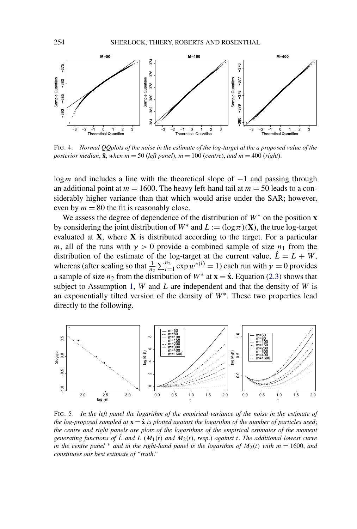<span id="page-16-0"></span>

FIG. 4. *Normal QQplots of the noise in the estimate of the log-target at the a proposed value of the posterior median,*  $\hat{\mathbf{x}}$ *, when*  $m = 50$  (*left panel*),  $m = 100$  (*centre*), *and*  $m = 400$  (*right*).

log<sub>*m*</sub> and includes a line with the theoretical slope of −1 and passing through an additional point at  $m = 1600$ . The heavy left-hand tail at  $m = 50$  leads to a considerably higher variance than that which would arise under the SAR; however, even by  $m = 80$  the fit is reasonably close.

We assess the degree of dependence of the distribution of  $W^*$  on the position **x** by considering the joint distribution of  $W^*$  and  $L := (\log \pi)(\mathbf{X})$ , the true log-target evaluated at **X**, where **X** is distributed according to the target. For a particular *m*, all of the runs with  $\gamma > 0$  provide a combined sample of size  $n_1$  from the distribution of the estimate of the log-target at the current value,  $\hat{L} = L + W$ , whereas (after scaling so that  $\frac{1}{n_2} \sum_{i=1}^{n_2} \exp w^{*(i)} = 1$ ) each run with  $\gamma = 0$  provides a sample of size  $n_2$  from the distribution of  $W^*$  at  $\mathbf{x} = \hat{\mathbf{x}}$ . Equation [\(2.3\)](#page-4-0) shows that subject to Assumption [1,](#page-4-0) *W* and *L* are independent and that the density of *W* is an exponentially tilted version of the density of *W*∗. These two properties lead directly to the following.



FIG. 5. *In the left panel the logarithm of the empirical variance of the noise in the estimate of the log-proposal sampled at*  $\mathbf{x} = \hat{\mathbf{x}}$  *is plotted against the logarithm of the number of particles used*; *the centre and right panels are plots of the logarithms of the empirical estimates of the moment generating functions of*  $\hat{L}$  *and*  $L$  ( $M_1(t)$  *and*  $M_2(t)$ *, resp.) against t*. *The additional lowest curve in the centre panel*  $*$  *and in the right-hand panel is the logarithm of*  $M_2(t)$  *with*  $m = 1600$ *, and constitutes our best estimate of "truth*.*"*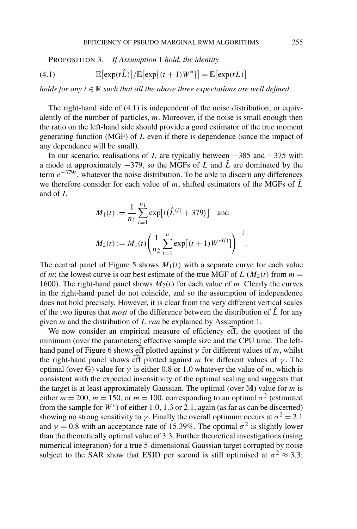PROPOSITION 3. *If Assumption* [1](#page-4-0) *hold*, *the identity*

(4.1) 
$$
\mathbb{E}[\exp(t\hat{L})]/\mathbb{E}[\exp\{(t+1)W^*\}]=\mathbb{E}[\exp(tL)]
$$

*holds for any*  $t \in \mathbb{R}$  *such that all the above three expectations are well defined.* 

The right-hand side of (4.1) is independent of the noise distribution, or equivalently of the number of particles, *m*. Moreover, if the noise is small enough then the ratio on the left-hand side should provide a good estimator of the true moment generating function (MGF) of *L* even if there is dependence (since the impact of any dependence will be small).

In our scenario, realisations of *L* are typically between −385 and −375 with a mode at approximately −379, so the MGFs of *L* and *L*ˆ are dominated by the term *e*−379*<sup>t</sup>* , whatever the noise distribution. To be able to discern any differences we therefore consider for each value of  $m$ , shifted estimators of the MGFs of  $\hat{L}$ and of *L*

$$
M_1(t) := \frac{1}{n_1} \sum_{i=1}^{n_1} \exp[t(\hat{L}^{(i)} + 379)] \text{ and}
$$

$$
M_2(t) := M_1(t) \left(\frac{1}{n_2} \sum_{i=1}^{n} \exp[(t+1)W^{*(i)}]\right)^{-1}
$$

*.*

The central panel of Figure [5](#page-16-0) shows  $M_1(t)$  with a separate curve for each value of *m*; the lowest curve is our best estimate of the true MGF of *L* ( $M_2(t)$ ) from  $m =$ 1600). The right-hand panel shows  $M_2(t)$  for each value of *m*. Clearly the curves in the right-hand panel do not coincide, and so the assumption of independence does not hold precisely. However, it is clear from the very different vertical scales of the two figures that *most* of the difference between the distribution of  $\hat{L}$  for any given *m* and the distribution of *L can* be explained by Assumption [1.](#page-4-0)

We now consider an empirical measure of efficiency eff, the quotient of the minimum (over the parameters) effective sample size and the CPU time. The left-hand panel of Figure [6](#page-18-0) shows eff plotted against  $\gamma$  for different values of *m*, whilst the right-hand panel shows eff plotted against *m* for different values of  $\gamma$ . The optimal (over  $\mathbb{G}$ ) value for  $\gamma$  is either 0.8 or 1.0 whatever the value of *m*, which is consistent with the expected insensitivity of the optimal scaling and suggests that the target is at least approximately Gaussian. The optimal (over M) value for *m* is either  $m = 200$ ,  $m = 150$ , or  $m = 100$ , corresponding to an optimal  $\sigma^2$  (estimated from the sample for *W*∗) of either 1*.*0, 1*.*3 or 2*.*1, again (as far as can be discerned) showing no strong sensitivity to *γ*. Finally the overall optimum occurs at  $\sigma^2 = 2.1$ and  $\gamma = 0.8$  with an acceptance rate of 15.39%. The optimal  $\sigma^2$  is slightly lower than the theoretically optimal value of 3*.*3. Further theoretical investigations (using numerical integration) for a true 5-dimensional Gaussian target corrupted by noise subject to the SAR show that ESJD per second is still optimised at  $\sigma^2 \approx 3.3$ ;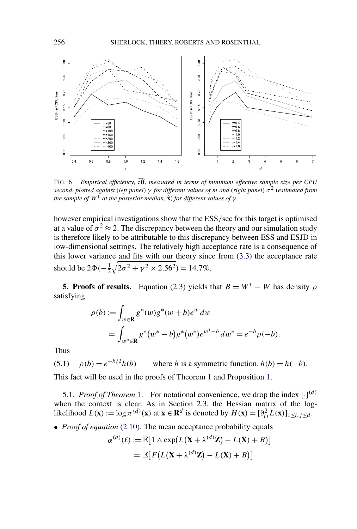<span id="page-18-0"></span>

FIG. 6. *Empirical efficiency*, eff, *measured in terms of minimum effective sample size per CPU second*, *plotted against* (*left panel*) *γ for different values of m and* (*right panel*) *σ*<sup>2</sup> (*estimated from the sample of*  $W^*$  *at the posterior median,*  $\hat{\mathbf{x}}$ *) for different values of*  $\gamma$ *.* 

however empirical investigations show that the ESS*/*sec for this target is optimised at a value of  $\sigma^2 \approx 2$ . The discrepancy between the theory and our simulation study is therefore likely to be attributable to this discrepancy between ESS and ESJD in low-dimensional settings. The relatively high acceptance rate is a consequence of this lower variance and fits with our theory since from [\(3.3\)](#page-13-0) the acceptance rate should be  $2\Phi(-\frac{1}{2})$  $\sqrt{2\sigma^2 + \gamma^2 \times 2.56^2}$ ) = 14.7%.

**5. Proofs of results.** Equation [\(2.3\)](#page-4-0) yields that  $B = W^* - W$  has density  $\rho$ satisfying

$$
\rho(b) := \int_{w \in \mathbf{R}} g^*(w) g^*(w + b) e^w dw
$$
  
= 
$$
\int_{w^* \in \mathbf{R}} g^*(w^* - b) g^*(w^*) e^{w^* - b} dw^* = e^{-b} \rho(-b).
$$

Thus

*(5.1)*  $\rho(b) = e^{-b/2}h(b)$  where *h* is a symmetric function,  $h(b) = h(-b)$ . This fact will be used in the proofs of Theorem [1](#page-6-0) and Proposition [1.](#page-7-0)

5.[1.](#page-6-0) *Proof of Theorem* 1. For notational convenience, we drop the index  $[\cdot]^{(d)}$ when the context is clear. As in Section [2.3,](#page-4-0) the Hessian matrix of the log-

likelihood  $L(\mathbf{x}) := \log \pi^{(d)}(\mathbf{x})$  at  $\mathbf{x} \in \mathbf{R}^d$  is denoted by  $H(\mathbf{x}) = [\partial_{ij}^2 L(\mathbf{x})]_{1 \le i, j \le d}$ . • *Proof of equation* [\(2.10\)](#page-6-0). The mean acceptance probability equals

$$
\alpha^{(d)}(\ell) := \mathbb{E}[1 \wedge \exp(L(\mathbf{X} + \lambda^{(d)}\mathbf{Z}) - L(\mathbf{X}) + B)]
$$
  
= 
$$
\mathbb{E}[F(L(\mathbf{X} + \lambda^{(d)}\mathbf{Z}) - L(\mathbf{X}) + B)]
$$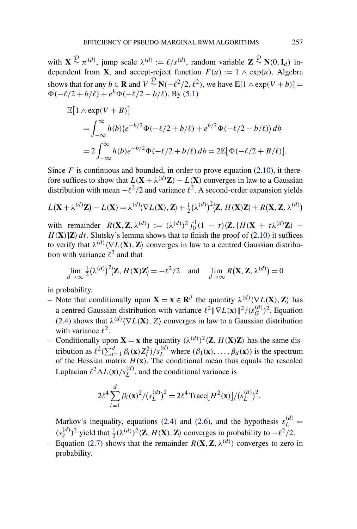with  $\mathbf{X} \stackrel{D}{\sim} \pi^{(d)}$ , jump scale  $\lambda^{(d)} := \ell/s^{(d)}$ , random variable  $\mathbf{Z} \stackrel{D}{\sim} \mathbf{N}(0, \mathbf{I}_d)$  independent from **X**, and accept-reject function  $F(u) := 1 \wedge \exp(u)$ . Algebra shows that for any  $b \in \mathbf{R}$  and  $V \sim N(-\ell^2/2, \ell^2)$ , we have  $\mathbb{E}[1 \wedge \exp(V + b)] =$  $\Phi(-\ell/2 + b/\ell) + e^b \Phi(-\ell/2 - b/\ell)$ . By [\(5.1\)](#page-18-0)

$$
\mathbb{E}[1 \wedge \exp(V + B)]
$$
  
=  $\int_{-\infty}^{\infty} h(b)(e^{-b/2}\Phi(-\ell/2 + b/\ell) + e^{b/2}\Phi(-\ell/2 - b/\ell)) db$   
=  $2 \int_{-\infty}^{\infty} h(b)e^{-b/2}\Phi(-\ell/2 + b/\ell) db = 2\mathbb{E}[\Phi(-\ell/2 + B/\ell)].$ 

Since  $F$  is continuous and bounded, in order to prove equation  $(2.10)$ , it therefore suffices to show that  $L(\mathbf{X} + \lambda^{(d)}\mathbf{Z}) - L(\mathbf{X})$  converges in law to a Gaussian distribution with mean  $-\ell^2/2$  and variance  $\ell^2$ . A second-order expansion yields

$$
L(\mathbf{X} + \lambda^{(d)} \mathbf{Z}) - L(\mathbf{X}) = \lambda^{(d)} \langle \nabla L(\mathbf{X}), \mathbf{Z} \rangle + \frac{1}{2} (\lambda^{(d)})^2 \langle \mathbf{Z}, H(\mathbf{X}) \mathbf{Z} \rangle + R(\mathbf{X}, \mathbf{Z}, \lambda^{(d)})
$$

with remainder  $R(\mathbf{X}, \mathbf{Z}, \lambda^{(d)}) := (\lambda^{(d)})^2 \int_0^1 (1 - t) \langle \mathbf{Z}, [H(\mathbf{X} + t\lambda^{(d)}\mathbf{Z}) H(X)[Z]$  *dt*. Slutsky's lemma shows that to finish the proof of [\(2.10\)](#page-6-0) it suffices to verify that  $\lambda^{(d)} \langle \nabla L(\mathbf{X}), \mathbf{Z} \rangle$  converges in law to a centred Gaussian distribution with variance  $\ell^2$  and that

$$
\lim_{d \to \infty} \frac{1}{2} (\lambda^{(d)})^2 \langle \mathbf{Z}, H(\mathbf{X}) \mathbf{Z} \rangle = -\ell^2 / 2 \quad \text{and} \quad \lim_{d \to \infty} R(\mathbf{X}, \mathbf{Z}, \lambda^{(d)}) = 0
$$

in probability.

- Note that conditionally upon  $\mathbf{X} = \mathbf{x} \in \mathbb{R}^d$  the quantity  $\lambda^{(d)} \langle \nabla L(\mathbf{X}), \mathbf{Z} \rangle$  has a centred Gaussian distribution with variance  $\ell^2 \|\nabla L(\mathbf{x})\|^2 / (s_G^{(d)})^2$ . Equation [\(2.4\)](#page-4-0) shows that  $\lambda^{(d)}\langle \nabla L(\mathbf{X}), Z \rangle$  converges in law to a Gaussian distribution with variance  $\ell^2$ .
- Conditionally upon  $\mathbf{X} = \mathbf{x}$  the quantity  $(\lambda^{(d)})^2 \langle \mathbf{Z}, H(\mathbf{X})\mathbf{Z} \rangle$  has the same distribution as  $\ell^2(\sum_{i=1}^d \beta_i(\mathbf{x})Z_i^2)/s_L^{(d)}$  where  $(\beta_1(\mathbf{x}), \dots, \beta_d(\mathbf{x}))$  is the spectrum of the Hessian matrix  $H(\mathbf{x})$ . The conditional mean thus equals the rescaled Laplacian  $\ell^2 \Delta L(\mathbf{x})/s_L^{(d)}$ , and the conditional variance is

$$
2\ell^4 \sum_{i=1}^d \beta_i(\mathbf{x})^2 / (s_L^{(d)})^2 = 2\ell^4 \operatorname{Trace}[H^2(\mathbf{x})] / (s_L^{(d)})^2.
$$

Markov's inequality, equations [\(2.4\)](#page-4-0) and [\(2.6\)](#page-5-0), and the hypothesis  $s_L^{(d)}$  =  $(s_g^{(d)})^2$  yield that  $\frac{1}{2}(\lambda^{(d)})^2\langle \mathbf{Z}, H(\mathbf{X}), \mathbf{Z}\rangle$  converges in probability to  $-\ell^2/2$ .

– Equation [\(2.7\)](#page-5-0) shows that the remainder  $R(\mathbf{X}, \mathbf{Z}, \lambda^{(d)})$  converges to zero in probability.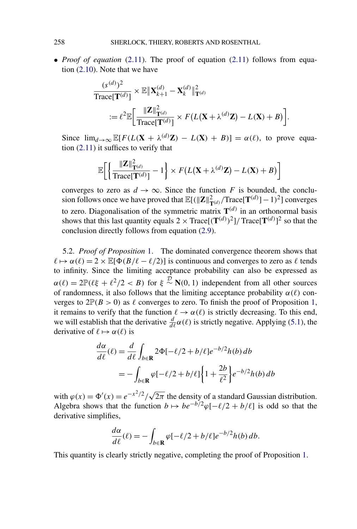• *Proof of equation* [\(2.11\)](#page-6-0). The proof of equation (2.11) follows from equation [\(2.10\)](#page-6-0). Note that we have

$$
\frac{(s^{(d)})^2}{\text{Trace}[\mathbf{T}^{(d)}]} \times \mathbb{E} \|\mathbf{X}_{k+1}^{(d)} - \mathbf{X}_k^{(d)}\|_{\mathbf{T}^{(d)}}^2
$$
  
:= 
$$
\ell^2 \mathbb{E} \bigg[ \frac{\|\mathbf{Z}\|_{\mathbf{T}^{(d)}}^2}{\text{Trace}[\mathbf{T}^{(d)}]} \times F(L(\mathbf{X} + \lambda^{(d)} \mathbf{Z}) - L(\mathbf{X}) + B) \bigg].
$$

Since  $\lim_{d\to\infty} \mathbb{E}[F(L(\mathbf{X} + \lambda^{(d)}\mathbf{Z}) - L(\mathbf{X}) + B)] = \alpha(\ell)$ , to prove equation [\(2.11\)](#page-6-0) it suffices to verify that

$$
\mathbb{E}\bigg[\bigg\{\frac{\|\mathbf{Z}\|_{\mathbf{T}^{(d)}}^2}{\text{Trace}[\mathbf{T}^{(d)}]} - 1\bigg\} \times F\big(L\big(\mathbf{X} + \lambda^{(d)}\mathbf{Z}\big) - L\big(\mathbf{X}\big) + B\big)\bigg]
$$

converges to zero as  $d \to \infty$ . Since the function *F* is bounded, the conclusion follows once we have proved that  $\mathbb{E}[(\|\mathbf{Z}\|_{\mathbf{T}^{(d)}}^2/\text{Trace}[\mathbf{T}^{(d)}] - 1)^2]$  converges to zero. Diagonalisation of the symmetric matrix  $T^{(d)}$  in an orthonormal basis shows that this last quantity equals  $2 \times Trace[(\mathbf{T}^{(d)})^2]/Trace[\mathbf{T}^{(d)}]^2$  so that the conclusion directly follows from equation [\(2.9\)](#page-6-0).

5.2. *Proof of Proposition* [1.](#page-7-0) The dominated convergence theorem shows that  $\ell \mapsto \alpha(\ell) = 2 \times \mathbb{E}[\Phi(B/\ell - \ell/2)]$  is continuous and converges to zero as  $\ell$  tends to infinity. Since the limiting acceptance probability can also be expressed as  $\alpha(\ell) = 2\mathbb{P}(\ell\xi + \ell^2/2 < B)$  for  $\xi \sim \mathbb{N}(0, 1)$  independent from all other sources of randomness, it also follows that the limiting acceptance probability  $\alpha(\ell)$  converges to  $2\mathbb{P}(B > 0)$  as  $\ell$  converges to zero. To finish the proof of Proposition [1,](#page-7-0) it remains to verify that the function  $\ell \to \alpha(\ell)$  is strictly decreasing. To this end, we will establish that the derivative  $\frac{d}{d\ell}\alpha(\ell)$  is strictly negative. Applying [\(5.1\)](#page-18-0), the derivative of  $\ell \mapsto \alpha(\ell)$  is

$$
\frac{d\alpha}{d\ell}(\ell) = \frac{d}{d\ell} \int_{b \in \mathbf{R}} 2\Phi[-\ell/2 + b/\ell] e^{-b/2} h(b) db
$$

$$
= -\int_{b \in \mathbf{R}} \varphi[-\ell/2 + b/\ell] \left\{ 1 + \frac{2b}{\ell^2} \right\} e^{-b/2} h(b) db
$$

with  $\varphi(x) = \Phi'(x) = e^{-x^2/2}/\sqrt{2\pi}$  the density of a standard Gaussian distribution. Algebra shows that the function  $b \mapsto be^{-b/2} \varphi[-\ell/2 + b/\ell]$  is odd so that the derivative simplifies,

$$
\frac{d\alpha}{d\ell}(\ell) = -\int_{b \in \mathbf{R}} \varphi[-\ell/2 + b/\ell] e^{-b/2} h(b) db.
$$

This quantity is clearly strictly negative, completing the proof of Proposition [1.](#page-7-0)

<span id="page-20-0"></span>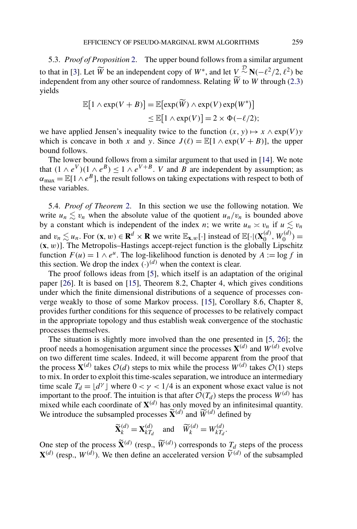<span id="page-21-0"></span>5.3. *Proof of Proposition* [2.](#page-7-0) The upper bound follows from a similar argument to that in [\[3\]](#page-35-0). Let  $\widetilde{W}$  be an independent copy of  $W^*$ , and let  $V \sim \mathbb{N}(-\ell^2/2, \ell^2)$  be independent from any other source of randomness. Relating *W* to *W* through [\(2.3\)](#page-4-0) yields

$$
\mathbb{E}[1 \wedge \exp(V + B)] = \mathbb{E}[\exp(\widetilde{W}) \wedge \exp(V) \exp(W^*)]
$$
  
\n
$$
\leq \mathbb{E}[1 \wedge \exp(V)] = 2 \times \Phi(-\ell/2);
$$

we have applied Jensen's inequality twice to the function  $(x, y) \mapsto x \wedge \exp(V)y$ which is concave in both *x* and *y*. Since  $J(\ell) = \mathbb{E}[1 \wedge \exp(V + B)]$ , the upper bound follows.

The lower bound follows from a similar argument to that used in [\[14\]](#page-36-0). We note that  $(1 \wedge e^V)(1 \wedge e^B) \le 1 \wedge e^{V+B}$ . *V* and *B* are independent by assumption; as  $\alpha_{\text{max}} = \mathbb{E}[1 \wedge e^B]$ , the result follows on taking expectations with respect to both of these variables.

5.4. *Proof of Theorem* [2.](#page-10-0) In this section we use the following notation. We write  $u_n \le v_n$  when the absolute value of the quotient  $u_n/v_n$  is bounded above by a constant which is independent of the index *n*; we write  $u_n \approx v_n$  if  $u \le v_n$ and  $v_n \lesssim u_n$ . For  $(\mathbf{x}, w) \in \mathbf{R}^d \times \mathbf{R}$  we write  $\mathbb{E}_{\mathbf{x},w}[\cdot]$  instead of  $\mathbb{E}[\cdot |(\mathbf{X}_0^{(d)}, W_0^{(d)}) =$ *(***x***,w)*]. The Metropolis–Hastings accept-reject function is the globally Lipschitz function  $F(u) = 1 \wedge e^u$ . The log-likelihood function is denoted by  $A := \log f$  in this section. We drop the index  $(\cdot)^{(d)}$  when the context is clear.

The proof follows ideas from [\[5\]](#page-35-0), which itself is an adaptation of the original paper [\[26\]](#page-36-0). It is based on [\[15\]](#page-36-0), Theorem 8*.*2, Chapter 4, which gives conditions under which the finite dimensional distributions of a sequence of processes converge weakly to those of some Markov process. [\[15\]](#page-36-0), Corollary 8*.*6, Chapter 8, provides further conditions for this sequence of processes to be relatively compact in the appropriate topology and thus establish weak convergence of the stochastic processes themselves.

The situation is slightly more involved than the one presented in [\[5,](#page-35-0) [26\]](#page-36-0); the proof needs a homogenisation argument since the processes  $X^{(d)}$  and  $W^{(d)}$  evolve on two different time scales. Indeed, it will become apparent from the proof that the process  $\mathbf{X}^{(d)}$  takes  $\mathcal{O}(d)$  steps to mix while the process  $W^{(d)}$  takes  $\mathcal{O}(1)$  steps to mix. In order to exploit this time-scales separation, we introduce an intermediary time scale  $T_d = \lfloor d^{\gamma} \rfloor$  where  $0 < \gamma < 1/4$  is an exponent whose exact value is not important to the proof. The intuition is that after  $\mathcal{O}(T_d)$  steps the process  $W^{(d)}$  has mixed while each coordinate of  $X^{(d)}$  has only moved by an infinitesimal quantity. We introduce the subsampled processes  $\widetilde{\mathbf{X}}^{(d)}$  and  $\widetilde{W}^{(d)}$  defined by

$$
\widetilde{\mathbf{X}}_k^{(d)} = \mathbf{X}_{kT_d}^{(d)} \quad \text{and} \quad \widetilde{W}_k^{(d)} = W_{kT_d}^{(d)}.
$$

One step of the process  $\widetilde{\mathbf{X}}^{(d)}$  (resp.,  $\widetilde{W}^{(d)}$ ) corresponds to  $T_d$  steps of the process  $\mathbf{X}^{(d)}$  (resp.,  $W^{(d)}$ ). We then define an accelerated version  $\tilde{V}^{(d)}$  of the subsampled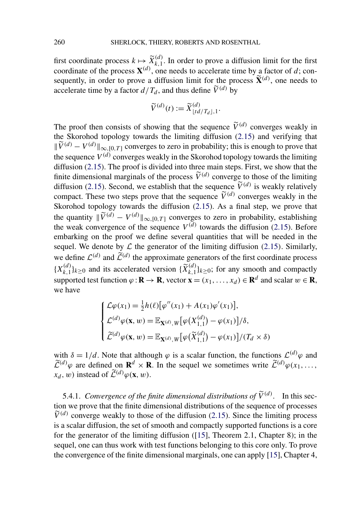first coordinate process  $k \mapsto \widetilde{X}_{k,1}^{(d)}$ . In order to prove a diffusion limit for the first coordinate of the process  $\mathbf{X}^{(d)}$ , one needs to accelerate time by a factor of *d*; consequently, in order to prove a diffusion limit for the process  $\tilde{\mathbf{X}}^{(d)}$ , one needs to accelerate time by a factor  $d/T_d$ , and thus define  $\widetilde{V}^{(d)}$  by

$$
\widetilde{V}^{(d)}(t) := \widetilde{X}^{(d)}_{\lfloor td/T_d\rfloor,1}.
$$

The proof then consists of showing that the sequence  $\tilde{V}^{(d)}$  converges weakly in the Skorohod topology towards the limiting diffusion [\(2.15\)](#page-10-0) and verifying that  $\|\widetilde{V}^{(d)} - V^{(d)}\|_{\infty, [0, T]}$  converges to zero in probability; this is enough to prove that the sequence  $V^{(d)}$  converges weakly in the Skorohod topology towards the limiting diffusion [\(2.15\)](#page-10-0). The proof is divided into three main steps. First, we show that the finite dimensional marginals of the process  $\tilde{V}^{(d)}$  converge to those of the limiting diffusion [\(2.15\)](#page-10-0). Second, we establish that the sequence  $\tilde{V}^{(d)}$  is weakly relatively compact. These two steps prove that the sequence  $\tilde{V}^{(d)}$  converges weakly in the Skorohod topology towards the diffusion [\(2.15\)](#page-10-0). As a final step, we prove that the quantity  $\|\widetilde{V}^{(d)} - V^{(d)}\|_{\infty, [0, T]}$  converges to zero in probability, establishing the weak convergence of the sequence  $V^{(d)}$  towards the diffusion [\(2.15\)](#page-10-0). Before embarking on the proof we define several quantities that will be needed in the sequel. We denote by  $\mathcal L$  the generator of the limiting diffusion ([2.15](#page-10-0)). Similarly, we define  $\mathcal{L}^{(d)}$  and  $\widetilde{\mathcal{L}}^{(d)}$  the approximate generators of the first coordinate process  ${X_{k,1}^{(d)}}_{k\geq0}$  and its accelerated version  ${\{\widetilde{X}_{k,1}^{(d)}\}}_{k\geq0}$ ; for any smooth and compactly supported test function  $\varphi : \mathbf{R} \to \mathbf{R}$ , vector  $\mathbf{x} = (x_1, \dots, x_d) \in \mathbf{R}^d$  and scalar  $w \in \mathbf{R}$ , we have

$$
\begin{cases}\n\mathcal{L}\varphi(x_1) = \frac{1}{2}h(\ell)\big[\varphi''(x_1) + A(x_1)\varphi'(x_1)\big], \\
\mathcal{L}^{(d)}\varphi(\mathbf{x}, w) = \mathbb{E}_{\mathbf{X}^{(d)}, W}\big[\varphi(X_{1,1}^{(d)}) - \varphi(x_1)\big]/\delta, \\
\widetilde{\mathcal{L}}^{(d)}\varphi(\mathbf{x}, w) = \mathbb{E}_{\mathbf{X}^{(d)}, W}\big[\varphi(\widetilde{X}_{1,1}^{(d)}) - \varphi(x_1)\big]/(T_d \times \delta)\n\end{cases}
$$

with  $\delta = 1/d$ . Note that although  $\varphi$  is a scalar function, the functions  $\mathcal{L}^{(d)}\varphi$  and  $\widetilde{\mathcal{L}}^{(d)}\varphi$  are defined on  $\mathbf{R}^d \times \mathbf{R}$ . In the sequel we sometimes write  $\widetilde{\mathcal{L}}^{(d)}\varphi(x_1,\ldots,x_n)$  $(x_d, w)$  instead of  $\widetilde{\mathcal{L}}^{(d)}\varphi(\mathbf{x}, w)$ .

5.4.1. *Convergence of the finite dimensional distributions of*  $\widetilde{V}^{(d)}$ . In this section we prove that the finite dimensional distributions of the sequence of processes  $\widetilde{V}^{(d)}$  converge weakly to those of the diffusion [\(2.15\)](#page-10-0). Since the limiting process is a scalar diffusion, the set of smooth and compactly supported functions is a core for the generator of the limiting diffusion ([\[15\]](#page-36-0), Theorem 2*.*1, Chapter 8); in the sequel, one can thus work with test functions belonging to this core only. To prove the convergence of the finite dimensional marginals, one can apply [\[15\]](#page-36-0), Chapter 4,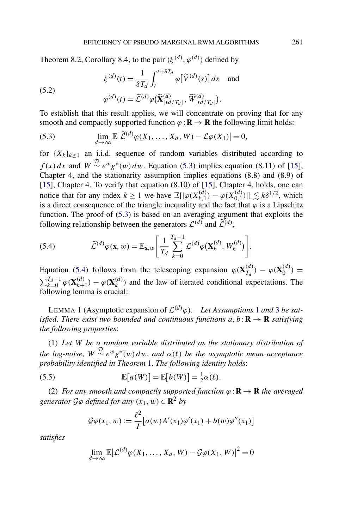<span id="page-23-0"></span>Theorem 8.2, Corollary 8.4, to the pair  $(\xi^{(d)}, \varphi^{(d)})$  defined by

(5.2) 
$$
\xi^{(d)}(t) = \frac{1}{\delta T_d} \int_t^{t + \delta T_d} \varphi[\widetilde{V}^{(d)}(s)] ds \text{ and}
$$

$$
\varphi^{(d)}(t) = \widetilde{\mathcal{L}}^{(d)} \varphi(\widetilde{\mathbf{X}}_{\lfloor td/T_d \rfloor}^{(d)}, \widetilde{W}_{\lfloor td/T_d \rfloor}^{(d)}).
$$

To establish that this result applies, we will concentrate on proving that for any smooth and compactly supported function  $\varphi : \mathbf{R} \to \mathbf{R}$  the following limit holds:

(5.3) 
$$
\lim_{d \to \infty} \mathbb{E} |\widetilde{\mathcal{L}}^{(d)} \varphi(X_1, \dots, X_d, W) - \mathcal{L} \varphi(X_1)| = 0,
$$

for  ${X_k}_{k>1}$  an i.i.d. sequence of random variables distributed according to  $f(x) dx$  and  $W \sim e^{w} g^{*}(w) dw$ . Equation (5.3) implies equation (8.11) of [\[15\]](#page-36-0), Chapter 4, and the stationarity assumption implies equations (8.8) and (8.9) of [\[15\]](#page-36-0), Chapter 4. To verify that equation (8.10) of [\[15\]](#page-36-0), Chapter 4, holds, one can notice that for any index  $k \ge 1$  we have  $\mathbb{E}[\lvert \varphi(X_{k,1}^{(d)}) - \varphi(X_{0,1}^{(d)}) \rvert] \lesssim k\delta^{1/2}$ , which is a direct consequence of the triangle inequality and the fact that  $\varphi$  is a Lipschitz function. The proof of (5.3) is based on an averaging argument that exploits the following relationship between the generators  $\mathcal{L}^{(d)}$  and  $\widetilde{\mathcal{L}}^{(d)}$ ,

(5.4) 
$$
\widetilde{\mathcal{L}}^{(d)}\varphi(\mathbf{x},w) = \mathbb{E}_{\mathbf{x},w} \bigg[ \frac{1}{T_d} \sum_{k=0}^{T_d-1} \mathcal{L}^{(d)}\varphi(\mathbf{X}_k^{(d)},W_k^{(d)}) \bigg].
$$

Equation (5.4) follows from the telescoping expansion  $\varphi(\mathbf{X}_{T_d}^{(d)}) - \varphi(\mathbf{X}_0^{(d)}) =$  $\sum_{k=0}^{T_d-1} \varphi(\mathbf{X}_{k+1}^{(d)}) - \varphi(\mathbf{X}_{k}^{(d)})$  and the law of iterated conditional expectations. The following lemma is crucial:

LEMMA [1](#page-4-0) (Asymptotic expansion of  $\mathcal{L}^{(d)}(\varphi)$ . Let Assumptions 1 and [3](#page-9-0) be sat*isfied. There exist two bounded and continuous functions*  $a, b: \mathbf{R} \to \mathbf{R}$  *satisfying the following properties*:

(1) *Let W be a random variable distributed as the stationary distribution of the log-noise,*  $W \stackrel{\mathcal{D}}{\sim} e^w g^*(w) dw$ , and  $\alpha(\ell)$  be the asymptotic mean acceptance *probability identified in Theorem* [1.](#page-6-0) *The following identity holds*:

(5.5) 
$$
\mathbb{E}[a(W)] = \mathbb{E}[b(W)] = \frac{1}{2}\alpha(\ell).
$$

(2) *For any smooth and compactly supported function*  $\varphi$  : **R**  $\rightarrow$  **R** *the averaged generator*  $G\varphi$  *defined for any*  $(x_1, w) \in \mathbb{R}^2$  *by* 

$$
\mathcal{G}\varphi(x_1, w) := \frac{\ell^2}{I} [a(w)A'(x_1)\varphi'(x_1) + b(w)\varphi''(x_1)]
$$

*satisfies*

$$
\lim_{d \to \infty} \mathbb{E} |\mathcal{L}^{(d)} \varphi(X_1, \dots, X_d, W) - \mathcal{G} \varphi(X_1, W)|^2 = 0
$$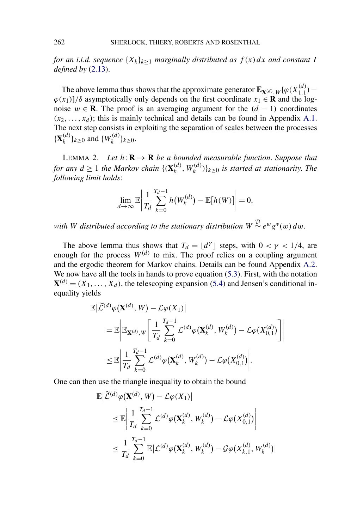<span id="page-24-0"></span>*for an i.i.d. sequence*  ${X_k}_{k>1}$  *marginally distributed as*  $f(x) dx$  *and constant I defined by* [\(2.13\)](#page-10-0).

The above lemma thus shows that the approximate generator  $\mathbb{E}_{\mathbf{X}^{(d)},W}[\varphi(X_{1,1}^{(d)}) \varphi(x_1)$ ]/δ asymptotically only depends on the first coordinate  $x_1 \in \mathbb{R}$  and the lognoise  $w \in \mathbf{R}$ . The proof is an averaging argument for the  $(d - 1)$  coordinates  $(x_2, \ldots, x_d)$ ; this is mainly technical and details can be found in Appendix [A.1.](#page-29-0) The next step consists in exploiting the separation of scales between the processes  ${\{\mathbf X_k^{(d)}\}_{k \geq 0}}$  and  ${\{W_k^{(d)}\}_{k \geq 0}}$ .

LEMMA 2. Let  $h: \mathbf{R} \to \mathbf{R}$  be a bounded measurable function. Suppose that *for any*  $d \ge 1$  *the Markov chain*  $\{(\mathbf{X}_k^{(d)}, W_k^{(d)})\}_{k \ge 0}$  *is started at stationarity. The following limit holds*:

$$
\lim_{d\to\infty}\mathbb{E}\left|\frac{1}{T_d}\sum_{k=0}^{T_d-1}h\big(W_k^{(d)}\big)-\mathbb{E}\big[h(W)\big]\right|=0,
$$

*with W* distributed according to the stationary distribution  $W \sim e^w g^*(w) dw$ .

The above lemma thus shows that  $T_d = \lfloor d^{\gamma} \rfloor$  steps, with  $0 < \gamma < 1/4$ , are enough for the process  $W^{(d)}$  to mix. The proof relies on a coupling argument and the ergodic theorem for Markov chains. Details can be found Appendix [A.2.](#page-31-0) We now have all the tools in hands to prove equation [\(5.3\)](#page-23-0). First, with the notation  $X^{(d)} = (X_1, \ldots, X_d)$ , the telescoping expansion [\(5.4\)](#page-23-0) and Jensen's conditional inequality yields

$$
\mathbb{E}\left|\widetilde{\mathcal{L}}^{(d)}\varphi(\mathbf{X}^{(d)},W)-\mathcal{L}\varphi(X_1)\right|
$$
\n
$$
=\mathbb{E}\left|\mathbb{E}_{\mathbf{X}^{(d)},W}\left[\frac{1}{T_d}\sum_{k=0}^{T_d-1}\mathcal{L}^{(d)}\varphi(\mathbf{X}_k^{(d)},W_k^{(d)})-\mathcal{L}\varphi(X_{0,1}^{(d)})\right]\right|
$$
\n
$$
\leq \mathbb{E}\left|\frac{1}{T_d}\sum_{k=0}^{T_d-1}\mathcal{L}^{(d)}\varphi(\mathbf{X}_k^{(d)},W_k^{(d)})-\mathcal{L}\varphi(X_{0,1}^{(d)})\right|.
$$

One can then use the triangle inequality to obtain the bound

$$
\mathbb{E}\left|\tilde{\mathcal{L}}^{(d)}\varphi(\mathbf{X}^{(d)},W) - \mathcal{L}\varphi(X_1)\right|
$$
  
\n
$$
\leq \mathbb{E}\left|\frac{1}{T_d}\sum_{k=0}^{T_d-1}\mathcal{L}^{(d)}\varphi(\mathbf{X}_k^{(d)},W_k^{(d)}) - \mathcal{L}\varphi(X_{0,1}^{(d)})\right|
$$
  
\n
$$
\leq \frac{1}{T_d}\sum_{k=0}^{T_d-1}\mathbb{E}|\mathcal{L}^{(d)}\varphi(\mathbf{X}_k^{(d)},W_k^{(d)}) - \mathcal{G}\varphi(X_{k,1}^{(d)},W_k^{(d)})|
$$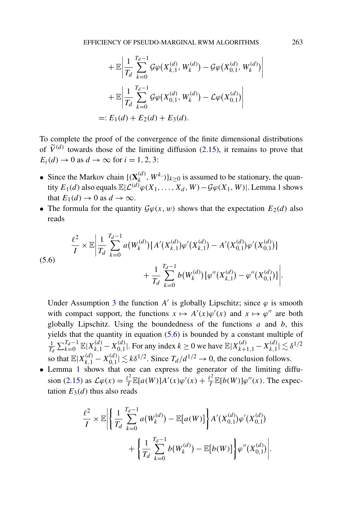$$
+ \mathbb{E} \left| \frac{1}{T_d} \sum_{k=0}^{T_d - 1} \mathcal{G} \varphi(X_{k,1}^{(d)}, W_k^{(d)}) - \mathcal{G} \varphi(X_{0,1}^{(d)}, W_k^{(d)}) \right|
$$
  
+ 
$$
\mathbb{E} \left| \frac{1}{T_d} \sum_{k=0}^{T_d - 1} \mathcal{G} \varphi(X_{0,1}^{(d)}, W_k^{(d)}) - \mathcal{L} \varphi(X_{0,1}^{(d)}) \right|
$$
  
=:  $E_1(d) + E_2(d) + E_3(d)$ .

To complete the proof of the convergence of the finite dimensional distributions of  $\tilde{V}^{(d)}$  towards those of the limiting diffusion [\(2.15\)](#page-10-0), it remains to prove that  $E_i(d) \to 0$  as  $d \to \infty$  for  $i = 1, 2, 3$ :

- Since the Markov chain  $\{(\mathbf{X}_k^{(d)}, W^k)\}_{k \geq 0}$  is assumed to be stationary, the quantity  $E_1(d)$  $E_1(d)$  $E_1(d)$  also equals  $\mathbb{E}|\mathcal{L}^{(d)}\varphi(X_1,\ldots,X_d,W)-\mathcal{G}\varphi(X_1,W)|$ . Lemma 1 shows that  $E_1(d) \to 0$  as  $d \to \infty$ .
- The formula for the quantity  $\mathcal{G}\varphi(x, w)$  shows that the expectation  $E_2(d)$  also reads

(5.6)  

$$
\frac{\ell^2}{I} \times \mathbb{E} \left| \frac{1}{T_d} \sum_{k=0}^{T_d-1} a(W_k^{(d)}) \{ A'(X_{k,1}^{(d)}) \varphi'(X_{k,1}^{(d)}) - A'(X_{0,1}^{(d)}) \varphi'(X_{0,1}^{(d)}) \} + \frac{1}{T_d} \sum_{k=0}^{T_d-1} b(W_k^{(d)}) \{ \varphi''(X_{k,1}^{(d)}) - \varphi''(X_{0,1}^{(d)}) \} \right|.
$$

Under Assumption [3](#page-9-0) the function *A'* is globally Lipschitz; since  $\varphi$  is smooth with compact support, the functions  $x \mapsto A'(x)\varphi'(x)$  and  $x \mapsto \varphi''$  are both globally Lipschitz. Using the boundedness of the functions *a* and *b*, this yields that the quantity in equation (5.6) is bounded by a constant multiple of 1  $\frac{1}{T_d} \sum_{k=0}^{T_d-1} \mathbb{E}|X_{k,1}^{(d)} - X_{0,1}^{(d)}|$ . For any index  $k \ge 0$  we have  $\mathbb{E}|X_{k+1,1}^{(d)} - X_{k,1}^{(d)}| \lesssim \delta^{1/2}$ so that  $\mathbb{E}|X_{k,1}^{(d)} - X_{0,1}^{(d)}| \lesssim k\delta^{1/2}$ . Since  $T_d/d^{1/2} \to 0$ , the conclusion follows.

• Lemma [1](#page-23-0) shows that one can express the generator of the limiting diffu-sion [\(2.15\)](#page-10-0) as  $\mathcal{L}\varphi(x) = \frac{\ell^2}{I} \mathbb{E}[a(W)]A'(x)\varphi'(x) + \frac{\ell^2}{I} \mathbb{E}[b(W)]\varphi''(x)$ . The expectation  $E_3(d)$  thus also reads

$$
\frac{\ell^2}{I} \times \mathbb{E} \Biggl\| \left\{ \frac{1}{T_d} \sum_{k=0}^{T_d-1} a(W_k^{(d)}) - \mathbb{E}[a(W)] \right\} A'(X_{0,1}^{(d)}) \varphi'(X_{0,1}^{(d)}) + \left\{ \frac{1}{T_d} \sum_{k=0}^{T_d-1} b(W_k^{(d)}) - \mathbb{E}[b(W)] \right\} \varphi''(X_{0,1}^{(d)}) \Biggr\}.
$$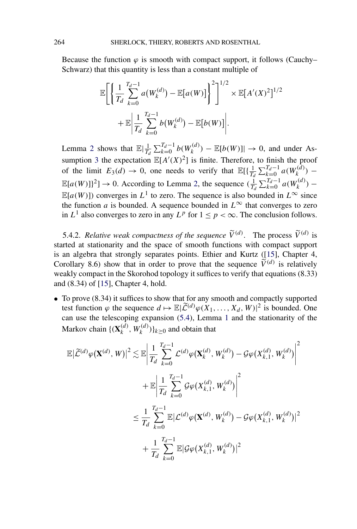Because the function  $\varphi$  is smooth with compact support, it follows (Cauchy– Schwarz) that this quantity is less than a constant multiple of

$$
\mathbb{E}\Bigg[\Bigg\{\frac{1}{T_d}\sum_{k=0}^{T_d-1}a(W_k^{(d)}) - \mathbb{E}[a(W)]\Bigg\}^2\Bigg]^{1/2} \times \mathbb{E}[A'(X)^2]^{1/2} + \mathbb{E}\Bigg|\frac{1}{T_d}\sum_{k=0}^{T_d-1}b(W_k^{(d)}) - \mathbb{E}[b(W)]\Bigg|.
$$

Lemma [2](#page-24-0) shows that  $\mathbb{E}|\frac{1}{T_d}\sum_{k=0}^{T_d-1}b(W_k^{(d)}) - \mathbb{E}[b(W)]| \to 0$ , and under As-sumption [3](#page-9-0) the expectation  $\mathbb{E}[A'(X)^2]$  is finite. Therefore, to finish the proof of the limit  $E_3(d) \to 0$ , one needs to verify that  $\mathbb{E}[\{\frac{1}{T_d} \sum_{k=0}^{T_d-1} a(W_k^{(\tilde{d})}) - \}$  $\mathbb{E}[a(W)]^2$  → 0. According to Lemma [2,](#page-24-0) the sequence  $(\frac{1}{T_d} \sum_{k=0}^{T_d-1} a(W_k^{(d)}) \mathbb{E}[a(W)]$  converges in  $L^1$  to zero. The sequence is also bounded in  $L^{\infty}$  since the function *a* is bounded. A sequence bounded in  $L^\infty$  that converges to zero in  $L^1$  also converges to zero in any  $L^p$  for  $1 \le p < \infty$ . The conclusion follows.

5.4.2. *Relative weak compactness of the sequence*  $\widetilde{V}^{(d)}$ . The process  $\widetilde{V}^{(d)}$  is started at stationarity and the space of smooth functions with compact support is an algebra that strongly separates points. Ethier and Kurtz ([\[15\]](#page-36-0), Chapter 4, Corollary 8.6) show that in order to prove that the sequence  $\tilde{V}^{(d)}$  is relatively weakly compact in the Skorohod topology it suffices to verify that equations (8.33) and (8.34) of [\[15\]](#page-36-0), Chapter 4, hold.

• To prove  $(8.34)$  it suffices to show that for any smooth and compactly supported test function  $\varphi$  the sequence  $d \mapsto \mathbb{E}|\widetilde{\mathcal{L}}^{(d)}\varphi(X_1,\ldots,X_d,W)|^2$  is bounded. One can use the telescoping expansion [\(5.4\)](#page-23-0), Lemma [1](#page-23-0) and the stationarity of the Markov chain  $\{(\mathbf{X}_k^{(d)}, W_k^{(d)})\}_{k\geq 0}$  and obtain that

$$
\mathbb{E}|\widetilde{\mathcal{L}}^{(d)}\varphi(\mathbf{X}^{(d)},W)|^{2} \lesssim \mathbb{E}\left|\frac{1}{T_{d}}\sum_{k=0}^{T_{d}-1}\mathcal{L}^{(d)}\varphi(\mathbf{X}_{k}^{(d)},W_{k}^{(d)}) - \mathcal{G}\varphi(X_{k,1}^{(d)},W_{k}^{(d)})\right|^{2} \n+ \mathbb{E}\left|\frac{1}{T_{d}}\sum_{k=0}^{T_{d}-1}\mathcal{G}\varphi(X_{k,1}^{(d)},W_{k}^{(d)})\right|^{2} \n\leq \frac{1}{T_{d}}\sum_{k=0}^{T_{d}-1}\mathbb{E}|\mathcal{L}^{(d)}\varphi(\mathbf{X}^{(d)},W_{k}^{(d)}) - \mathcal{G}\varphi(X_{k,1}^{(d)},W_{k}^{(d)})|^{2} \n+ \frac{1}{T_{d}}\sum_{k=0}^{T_{d}-1}\mathbb{E}|\mathcal{G}\varphi(X_{k,1}^{(d)},W_{k}^{(d)})|^{2}
$$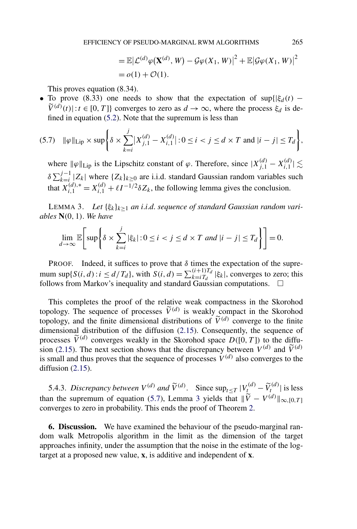$$
= \mathbb{E} |\mathcal{L}^{(d)} \varphi(\mathbf{X}^{(d)}, W) - \mathcal{G} \varphi(X_1, W)|^2 + \mathbb{E} |\mathcal{G} \varphi(X_1, W)|^2
$$
  
=  $o(1) + \mathcal{O}(1)$ .

This proves equation (8.34).

• To prove (8.33) one needs to show that the expectation of sup{ $|\xi_d(t) - \xi_t(t)|$  $\widetilde{V}^{(d)}(t)$ |:  $t \in [0, T]$ } converges to zero as  $d \to \infty$ , where the process  $\xi_d$  is defined in equation [\(5.2\)](#page-23-0). Note that the supremum is less than

$$
(5.7) \quad \|\varphi\|_{\text{Lip}} \times \sup \Biggl\{ \delta \times \sum_{k=i}^{j} \bigl| X_{j,1}^{(d)} - X_{i,1}^{(d)} \bigr| : 0 \le i < j \le d \times T \text{ and } |i - j| \le T_d \Biggr\},
$$

where  $\|\varphi\|_{\text{Lip}}$  is the Lipschitz constant of  $\varphi$ . Therefore, since  $|X_{j,1}^{(d)} - X_{i,1}^{(d)}| \lesssim$  $\delta \sum_{k=i}^{j-1} |Z_k|$  where  $\{Z_k\}_{k\geq 0}$  are i.i.d. standard Gaussian random variables such that  $X_{i,1}^{(d),*} = X_{i,1}^{(d)} + \ell I^{-1/2} \delta Z_k$ , the following lemma gives the conclusion.

LEMMA 3. *Let* {*ξk*}*k*≥<sup>1</sup> *an i*.*i*.*d*. *sequence of standard Gaussian random variables* **N***(*0*,* 1*)*. *We have*

$$
\lim_{d \to \infty} \mathbb{E}\bigg[\sup \bigg\{\delta \times \sum_{k=i}^{j} |\xi_k| : 0 \le i < j \le d \times T \text{ and } |i - j| \le T_d \bigg\}\bigg] = 0.
$$

PROOF. Indeed, it suffices to prove that  $\delta$  times the expectation of the supremum sup{ $S(i, d)$ : $i \le d/T_d$ }, with  $S(i, d) = \sum_{k=1}^{i+1} T_d | \xi_k |$ , converges to zero; this follows from Markov's inequality and standard Gaussian computations.  $\Box$ 

This completes the proof of the relative weak compactness in the Skorohod topology. The sequence of processes  $\tilde{V}^{(d)}$  is weakly compact in the Skorohod topology, and the finite dimensional distributions of  $\tilde{V}^{(d)}$  converge to the finite dimensional distribution of the diffusion [\(2.15\)](#page-10-0). Consequently, the sequence of processes  $\widetilde{V}^{(d)}$  converges weakly in the Skorohod space  $D([0, T])$  to the diffu-sion [\(2.15\)](#page-10-0). The next section shows that the discrepancy between  $V^{(d)}$  and  $\widetilde{V}^{(d)}$ is small and thus proves that the sequence of processes  $V^{(d)}$  also converges to the diffusion  $(2.15)$ .

5.4.3. *Discrepancy between*  $V^{(d)}$  *and*  $\widetilde{V}^{(d)}$ . Since  $\sup_{t \leq T} |V_t^{(d)} - \widetilde{V}_t^{(d)}|$  is less than the supremum of equation (5.7), Lemma 3 yields that  $\|\tilde{V} - V^{(d)}\|_{\infty, [0, T]}$ converges to zero in probability. This ends the proof of Theorem [2.](#page-10-0)

**6. Discussion.** We have examined the behaviour of the pseudo-marginal random walk Metropolis algorithm in the limit as the dimension of the target approaches infinity, under the assumption that the noise in the estimate of the logtarget at a proposed new value, **x**, is additive and independent of **x**.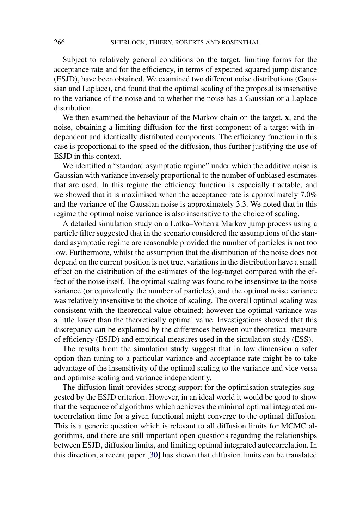Subject to relatively general conditions on the target, limiting forms for the acceptance rate and for the efficiency, in terms of expected squared jump distance (ESJD), have been obtained. We examined two different noise distributions (Gaussian and Laplace), and found that the optimal scaling of the proposal is insensitive to the variance of the noise and to whether the noise has a Gaussian or a Laplace distribution.

We then examined the behaviour of the Markov chain on the target, **x**, and the noise, obtaining a limiting diffusion for the first component of a target with independent and identically distributed components. The efficiency function in this case is proportional to the speed of the diffusion, thus further justifying the use of ESJD in this context.

We identified a "standard asymptotic regime" under which the additive noise is Gaussian with variance inversely proportional to the number of unbiased estimates that are used. In this regime the efficiency function is especially tractable, and we showed that it is maximised when the acceptance rate is approximately 7.0% and the variance of the Gaussian noise is approximately 3.3. We noted that in this regime the optimal noise variance is also insensitive to the choice of scaling.

A detailed simulation study on a Lotka–Volterra Markov jump process using a particle filter suggested that in the scenario considered the assumptions of the standard asymptotic regime are reasonable provided the number of particles is not too low. Furthermore, whilst the assumption that the distribution of the noise does not depend on the current position is not true, variations in the distribution have a small effect on the distribution of the estimates of the log-target compared with the effect of the noise itself. The optimal scaling was found to be insensitive to the noise variance (or equivalently the number of particles), and the optimal noise variance was relatively insensitive to the choice of scaling. The overall optimal scaling was consistent with the theoretical value obtained; however the optimal variance was a little lower than the theoretically optimal value. Investigations showed that this discrepancy can be explained by the differences between our theoretical measure of efficiency (ESJD) and empirical measures used in the simulation study (ESS).

The results from the simulation study suggest that in low dimension a safer option than tuning to a particular variance and acceptance rate might be to take advantage of the insensitivity of the optimal scaling to the variance and vice versa and optimise scaling and variance independently.

The diffusion limit provides strong support for the optimisation strategies suggested by the ESJD criterion. However, in an ideal world it would be good to show that the sequence of algorithms which achieves the minimal optimal integrated autocorrelation time for a given functional might converge to the optimal diffusion. This is a generic question which is relevant to all diffusion limits for MCMC algorithms, and there are still important open questions regarding the relationships between ESJD, diffusion limits, and limiting optimal integrated autocorrelation. In this direction, a recent paper [\[30\]](#page-37-0) has shown that diffusion limits can be translated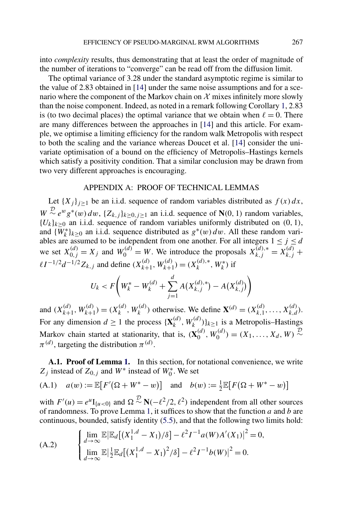<span id="page-29-0"></span>into *complexity* results, thus demonstrating that at least the order of magnitude of the number of iterations to "converge" can be read off from the diffusion limit.

The optimal variance of 3.28 under the standard asymptotic regime is similar to the value of 2.83 obtained in [\[14\]](#page-36-0) under the same noise assumptions and for a scenario where the component of the Markov chain on  $X$  mixes infinitely more slowly than the noise component. Indeed, as noted in a remark following Corollary [1,](#page-12-0) 2.83 is (to two decimal places) the optimal variance that we obtain when  $\ell = 0$ . There are many differences between the approaches in [\[14\]](#page-36-0) and this article. For example, we optimise a limiting efficiency for the random walk Metropolis with respect to both the scaling and the variance whereas Doucet et al. [\[14\]](#page-36-0) consider the univariate optimisation of a bound on the efficiency of Metropolis–Hastings kernels which satisfy a positivity condition. That a similar conclusion may be drawn from two very different approaches is encouraging.

### APPENDIX A: PROOF OF TECHNICAL LEMMAS

Let  ${X_j}_{j \geq 1}$  be an i.i.d. sequence of random variables distributed as  $f(x) dx$ ,  $W \sim \frac{D}{c} e^{w} g^{*}(w) dw$ , { $Z_{k,j}$ } $_{k \geq 0, j \geq 1}$  an i.i.d. sequence of **N**(0, 1) random variables,  ${U_k}_{k\geq 0}$  an i.i.d. sequence of random variables uniformly distributed on  $(0, 1)$ , and  $\{W_k^*\}_{k\geq 0}$  an i.i.d. sequence distributed as  $g^*(w) dw$ . All these random variables are assumed to be independent from one another. For all integers  $1 \le j \le d$ we set  $X_{0,j}^{(d)} = X_j$  and  $W_0^{(d)} = W$ . We introduce the proposals  $X_{k,j}^{(d),*} = X_{k,j}^{(d)} +$  $\ell I^{-1/2}d^{-1/2}Z_{k,j}$  and define  $(X_{k+1}^{(d)}, W_{k+1}^{(d)}) = (X_k^{(d),*}, W_k^*)$  if

$$
U_k < F\left(W_k^* - W_k^{(d)} + \sum_{j=1}^d A(X_{k,j}^{(d),*}) - A(X_{k,j}^{(d)})\right)
$$

and  $(X_{k+1}^{(d)}, W_{k+1}^{(d)}) = (X_k^{(d)}, W_k^{(d)})$  otherwise. We define  $\mathbf{X}^{(d)} = (X_{k,1}^{(d)}, \dots, X_{k,d}^{(d)})$ . For any dimension  $d \ge 1$  the process  $\{\mathbf{X}_k^{(d)}, W_k^{(d)}\}_{k \ge 1}$  is a Metropolis–Hastings Markov chain started at stationarity, that is,  $(\mathbf{X}_{0}^{(d)}, W_{0}^{(d)}) = (X_1, \ldots, X_d, W) \stackrel{\mathcal{D}}{\sim}$  $\pi^{(d)}$ , targeting the distribution  $\pi^{(d)}$ .

**A.1. Proof of Lemma [1.](#page-23-0)** In this section, for notational convenience, we write  $Z_j$  instead of  $Z_{0,j}$  and  $W^*$  instead of  $W_0^*$ . We set

(A.1) 
$$
a(w) := \mathbb{E}[F'(\Omega + W^* - w)]
$$
 and  $b(w) := \frac{1}{2}\mathbb{E}[F(\Omega + W^* - w)]$ 

with  $F'(u) = e^u I_{\{u < 0\}}$  and  $\Omega \sim \mathbb{N}(-\ell^2/2, \ell^2)$  independent from all other sources of randomness. To prove Lemma [1,](#page-23-0) it suffices to show that the function *a* and *b* are continuous, bounded, satisfy identity [\(5.5\)](#page-23-0), and that the following two limits hold:

(A.2) 
$$
\begin{cases} \lim_{d \to \infty} \mathbb{E} |\mathbb{E}_d[(X_1^{1,d} - X_1)/\delta] - \ell^2 I^{-1} a(W) A'(X_1)|^2 = 0, \\ \lim_{d \to \infty} \mathbb{E} |\frac{1}{2} \mathbb{E}_d[(X_1^{1,d} - X_1)^2/\delta] - \ell^2 I^{-1} b(W)|^2 = 0. \end{cases}
$$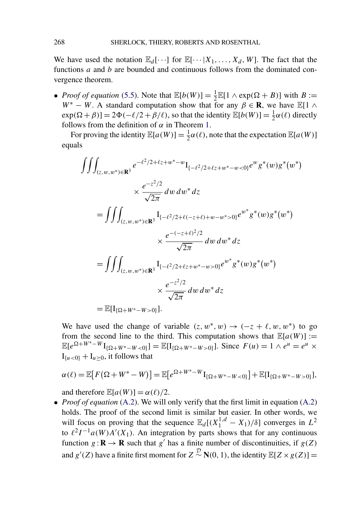We have used the notation  $\mathbb{E}_d[\cdots]$  for  $\mathbb{E}[\cdots|X_1,\ldots,X_d,W]$ . The fact that the functions *a* and *b* are bounded and continuous follows from the dominated convergence theorem.

• *Proof of equation* [\(5.5\)](#page-23-0). Note that  $\mathbb{E}[b(W)] = \frac{1}{2}\mathbb{E}[1 \wedge \exp(\Omega + B)]$  with  $B :=$  $W^* - W$ . A standard computation show that for any  $\beta \in \mathbf{R}$ , we have  $\mathbb{E}[1 \wedge \beta]$  $exp(\Omega + \beta)$ ] =  $2\Phi(-\ell/2 + \beta/\ell)$ , so that the identity  $\mathbb{E}[b(W)] = \frac{1}{2}\alpha(\ell)$  directly follows from the definition of *α* in Theorem [1.](#page-6-0)

For proving the identity  $\mathbb{E}[a(W)] = \frac{1}{2}\alpha(\ell)$ , note that the expectation  $\mathbb{E}[a(W)]$ equals

$$
\iiint_{(z,w,w^*)\in\mathbf{R}^3} e^{-\ell^2/2+\ell z+w^*-w} I_{\{-\ell^2/2+\ell z+w^*-w<0\}} e^w g^*(w) g^*(w^*)
$$
  
\n
$$
\times \frac{e^{-z^2/2}}{\sqrt{2\pi}} dw dw^* dz
$$
  
\n
$$
= \iiint_{(z,w,w^*)\in\mathbf{R}^3} I_{\{-\ell^2/2+\ell(-z+\ell)+w-w^*>0\}} e^{w^*} g^*(w) g^*(w^*)
$$
  
\n
$$
\times \frac{e^{-(-z+\ell)^2/2}}{\sqrt{2\pi}} dw dw^* dz
$$
  
\n
$$
= \iiint_{(z,w,w^*)\in\mathbf{R}^3} I_{\{-\ell^2/2+\ell z+w^*-w>0\}} e^{w^*} g^*(w) g^*(w^*)
$$
  
\n
$$
\times \frac{e^{-z^2/2}}{\sqrt{2\pi}} dw dw^* dz
$$
  
\n
$$
= \mathbb{E}[I_{\{\Omega+W^*-W>0\}}].
$$

We have used the change of variable  $(z, w^*, w) \rightarrow (-z + \ell, w, w^*)$  to go from the second line to the third. This computation shows that  $\mathbb{E}[a(W)] :=$  $\mathbb{E}[e^{\Omega+W^*-W}\mathbf{I}_{\{\Omega+W^*-W<0\}}] = \mathbb{E}[\mathbf{I}_{\{\Omega+W^*-W>0\}}]$ . Since  $F(u) = 1 \wedge e^u = e^u \times e^u$  $I_{\{u<0\}} + I_{u \geq 0}$ , it follows that

$$
\alpha(\ell) = \mathbb{E}[F(\Omega + W^* - W)] = \mathbb{E}[e^{\Omega + W^* - W}I_{\{\Omega + W^* - W < 0\}}] + \mathbb{E}[I_{\{\Omega + W^* - W > 0\}}],
$$

and therefore  $\mathbb{E}[a(W)] = \alpha(\ell)/2$ .

• *Proof of equation* [\(A.2\)](#page-29-0). We will only verify that the first limit in equation (A.2) holds. The proof of the second limit is similar but easier. In other words, we will focus on proving that the sequence  $\mathbb{E}_d[(X_1^{1,d} - X_1)/\delta]$  converges in  $L^2$ to  $\ell^2 I^{-1} a(W) A'(X_1)$ . An integration by parts shows that for any continuous function  $g: \mathbf{R} \to \mathbf{R}$  such that  $g'$  has a finite number of discontinuities, if  $g(Z)$ and  $g'(Z)$  have a finite first moment for  $Z \stackrel{\mathcal{D}}{\sim} N(0, 1)$ , the identity  $\mathbb{E}[Z \times g(Z)] =$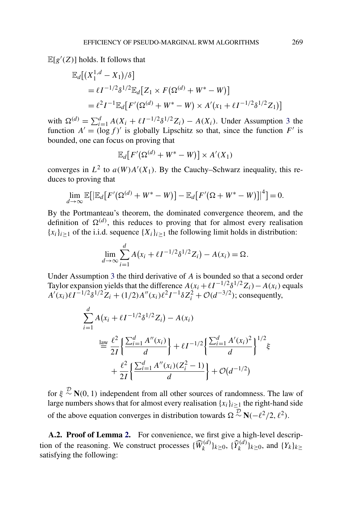<span id="page-31-0"></span> $\mathbb{E}[g'(Z)]$  holds. It follows that

$$
\mathbb{E}_d[(X_1^{1,d} - X_1)/\delta]
$$
  
=  $\ell I^{-1/2} \delta^{1/2} \mathbb{E}_d[Z_1 \times F(\Omega^{(d)} + W^* - W)]$   
=  $\ell^2 I^{-1} \mathbb{E}_d[F'(\Omega^{(d)} + W^* - W) \times A'(x_1 + \ell I^{-1/2} \delta^{1/2} Z_1)]$ 

with  $\Omega^{(d)} = \sum_{i=1}^{d} A(X_i + \ell I^{-1/2} \delta^{1/2} Z_i) - A(X_i)$ . Under Assumption [3](#page-9-0) the function  $A' = (\log f)'$  is globally Lipschitz so that, since the function  $F'$  is bounded, one can focus on proving that

$$
\mathbb{E}_d[F'(\Omega^{(d)} + W^* - W)] \times A'(X_1)
$$

converges in  $L^2$  to  $a(W)A'(X_1)$ . By the Cauchy–Schwarz inequality, this reduces to proving that

$$
\lim_{d\to\infty}\mathbb{E}\big[\big|\mathbb{E}_d\big[F'(\Omega^{(d)}+W^*-W)\big]-\mathbb{E}_d\big[F'(\Omega+W^*-W)\big]\big|^4\big]=0.
$$

By the Portmanteau's theorem, the dominated convergence theorem, and the definition of  $\Omega^{(d)}$ , this reduces to proving that for almost every realisation  ${x_i}_{i>1}$  of the i.i.d. sequence  ${X_i}_{i>1}$  the following limit holds in distribution:

$$
\lim_{d \to \infty} \sum_{i=1}^{d} A(x_i + \ell I^{-1/2} \delta^{1/2} Z_i) - A(x_i) = \Omega.
$$

Under Assumption [3](#page-9-0) the third derivative of *A* is bounded so that a second order Taylor expansion yields that the difference  $A(x_i + \ell I^{-1/2} \delta^{1/2} Z_i) - A(x_i)$  equals  $A'(x_i)\ell I^{-1/2}\delta^{1/2}Z_i + (1/2)A''(x_i)\ell^2I^{-1}\delta Z_i^2 + \mathcal{O}(d^{-3/2})$ ; consequently,

$$
\sum_{i=1}^{d} A(x_i + \ell I^{-1/2} \delta^{1/2} Z_i) - A(x_i)
$$
\n
$$
\stackrel{\text{law}}{=} \frac{\ell^2}{2I} \left\{ \frac{\sum_{i=1}^{d} A''(x_i)}{d} \right\} + \ell I^{-1/2} \left\{ \frac{\sum_{i=1}^{d} A'(x_i)^2}{d} \right\}^{1/2} \xi
$$
\n
$$
+ \frac{\ell^2}{2I} \left\{ \frac{\sum_{i=1}^{d} A''(x_i)(Z_i^2 - 1)}{d} \right\} + \mathcal{O}(d^{-1/2})
$$

for  $\xi \sim N(0, 1)$  independent from all other sources of randomness. The law of large numbers shows that for almost every realisation  ${x_i}_{i\geq 1}$  the right-hand side of the above equation converges in distribution towards  $\Omega \sim \mathbf{N}(-\ell^2/2, \ell^2)$ .

**A.2. Proof of Lemma [2.](#page-24-0)** For convenience, we first give a high-level description of the reasoning. We construct processes  $\{\widehat{W}_k^{(d)}\}_{k\geq 0}$ ,  $\{\widehat{Y}_k^{(d)}\}_{k\geq 0}$ , and  $\{Y_k\}_{k\geq 0}$ satisfying the following: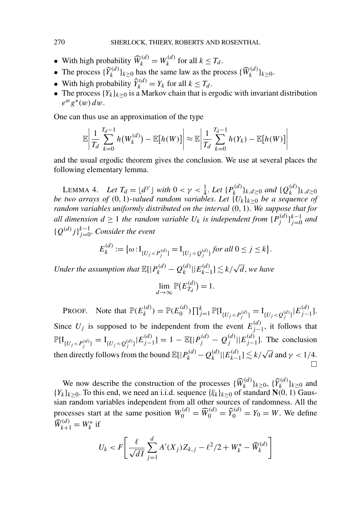- With high probability  $\widehat{W}_k^{(d)} = W_k^{(d)}$  for all  $k \leq T_d$ .
- The process  $\{\widehat{Y}_k^{(d)}\}_{k \ge 0}$  has the same law as the process  $\{\widehat{W}_k^{(d)}\}_{k \ge 0}$ .
- With high probability  $\widehat{Y}_k^{(d)} = Y_k$  for all  $k \leq T_d$ .
- The process  ${Y_k}_{k>0}$  is a Markov chain that is ergodic with invariant distribution  $e^w g^*(w) dw$ .

One can thus use an approximation of the type

$$
\mathbb{E}\left|\frac{1}{T_d}\sum_{k=0}^{T_d-1}h(W_k^{(d)})-\mathbb{E}[h(W)]\right|\approx \mathbb{E}\left|\frac{1}{T_d}\sum_{k=0}^{T_d-1}h(Y_k)-\mathbb{E}[h(W)]\right|
$$

and the usual ergodic theorem gives the conclusion. We use at several places the following elementary lemma.

LEMMA 4. *Let*  $T_d = \lfloor d^{\gamma} \rfloor$  *with*  $0 < \gamma < \frac{1}{4}$ *. Let*  $\{P_k^{(d)}\}_{k,d \ge 0}$  *and*  $\{Q_k^{(d)}\}_{k,d \ge 0}$ *be two arrays of (*0*,* 1*)-valued random variables*. *Let* {*Uk*}*k*≥<sup>0</sup> *be a sequence of random variables uniformly distributed on the interval (*0*,* 1*)*. *We suppose that for all dimension*  $d \ge 1$  *the random variable*  $U_k$  *is independent from*  $\{P_j^{(d)}\}_{j=0}^{k-1}$  *and*  ${Q^{(d)}j}_{j=0}^{k-1}$ . *Consider the event* 

$$
E_k^{(d)} := \{ \omega : I_{\{U_j < P_j^{(d)}\}} = I_{\{U_j < Q_j^{(d)}\}} \text{ for all } 0 \le j \le k \}.
$$

*Under the assumption that*  $\mathbb{E}[|P_k^{(d)} - Q_k^{(d)}||E_{k-1}^{(d)}] \lesssim k/\sqrt{d}$ , we have

$$
\lim_{d\to\infty}\mathbb{P}(E_{T_d}^{(d)})=1.
$$

PROOF. Note that  $\mathbb{P}(E_k^{(d)}) = \mathbb{P}(E_0^{(d)}) \prod_{j=1}^k \mathbb{P}[I_{\{U_j < P_j^{(d)}\}} = I_{\{U_j < Q_j^{(d)}\}} | E_{j-1}^{(d)}].$ Since  $U_j$  is supposed to be independent from the event  $E_{j-1}^{(d)}$ , it follows that  $\mathbb{P}[\mathbf{I}_{\{U_j < P_j^{(d)}\}} = \mathbf{I}_{\{U_j < Q_j^{(d)}\}} | E_{j-1}^{(d)} ] = 1 - \mathbb{E}[|P_j^{(d)} - Q_j^{(d)}| | E_{j-1}^{(d)}].$  The conclusion then directly follows from the bound  $\mathbb{E}[|P_k^{(d)} - Q_k^{(d)}||E_{k-1}^{(d)}] \lesssim k/\sqrt{d}$  and  $\gamma < 1/4$ .  $\Box$ 

We now describe the construction of the processes  $\{\widehat{W}_k^{(d)}\}_{k\geq 0}$ ,  $\{\widehat{Y}_k^{(d)}\}_{k\geq 0}$  and  ${Y_k}_{k\geq0}$ . To this end, we need an i.i.d. sequence  ${\{\xi_k\}_{k\geq0}}$  of standard **N**(0, 1) Gaussian random variables independent from all other sources of randomness. All the processes start at the same position  $W_0^{(d)} = \widehat{W}_0^{(d)} = \widehat{Y}_0^{(d)} = Y_0 = W$ . We define  $\widehat{W}_{k+1}^{(d)} = W_k^*$  if

$$
U_k < F\left[\frac{\ell}{\sqrt{dI}}\sum_{j=1}^d A'(X_j)Z_{k,j} - \ell^2/2 + W_k^* - \widehat{W}_k^{(d)}\right]
$$

<span id="page-32-0"></span>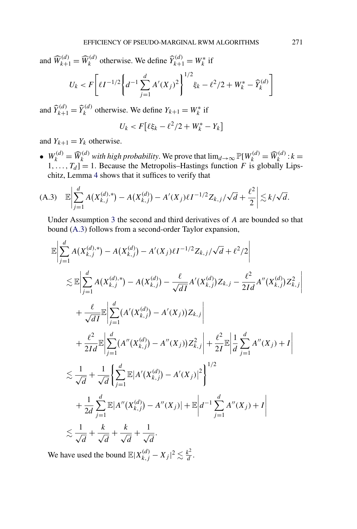and  $\widehat{W}_{k+1}^{(d)} = \widehat{W}_k^{(d)}$  otherwise. We define  $\widehat{Y}_{k+1}^{(d)} = W_k^*$  if

$$
U_k < F\left[\ell I^{-1/2} \left\{ d^{-1} \sum_{j=1}^d A'(X_j)^2 \right\}^{1/2} \xi_k - \ell^2 / 2 + W_k^* - \widehat{Y}_k^{(d)} \right]
$$

and  $\widehat{Y}_{k+1}^{(d)} = \widehat{Y}_k^{(d)}$  otherwise. We define  $Y_{k+1} = W_k^*$  if

$$
U_k < F\left[\ell \xi_k - \ell^2/2 + W_k^* - Y_k\right]
$$

and  $Y_{k+1} = Y_k$  otherwise.

•  $W_k^{(d)} = \widehat{W}_k^{(d)}$  with high probability. We prove that  $\lim_{d\to\infty} \mathbb{P}[W_k^{(d)} = \widehat{W}_k^{(d)} : k = 0$  $1, \ldots, T_d$ ] = 1. Because the Metropolis–Hastings function *F* is globally Lipschitz, Lemma [4](#page-32-0) shows that it suffices to verify that

(A.3) 
$$
\mathbb{E}\left|\sum_{j=1}^d A(X_{k,j}^{(d),*}) - A(X_{k,j}^{(d)}) - A'(X_j)\ell I^{-1/2}Z_{k,j}/\sqrt{d} + \frac{\ell^2}{2}\right| \lesssim k/\sqrt{d}.
$$

Under Assumption [3](#page-9-0) the second and third derivatives of *A* are bounded so that bound (A.3) follows from a second-order Taylor expansion,

$$
\mathbb{E}\left|\sum_{j=1}^{d} A(X_{k,j}^{(d),*}) - A(X_{k,j}^{(d)}) - A'(X_j)\ell I^{-1/2}Z_{k,j}/\sqrt{d} + \ell^2/2\right|
$$
  
\n
$$
\lesssim \mathbb{E}\left|\sum_{j=1}^{d} A(X_{k,j}^{(d),*}) - A(X_{k,j}^{(d)}) - \frac{\ell}{\sqrt{dI}}A'(X_{k,j}^{(d)})Z_{k,j} - \frac{\ell^2}{2Id}A''(X_{k,j}^{(d)})Z_{k,j}^2\right|
$$
  
\n
$$
+ \frac{\ell}{\sqrt{dI}}\mathbb{E}\left|\sum_{j=1}^{d} (A'(X_{k,j}^{(d)}) - A'(X_j))Z_{k,j}\right|
$$
  
\n
$$
+ \frac{\ell^2}{2Id}\mathbb{E}\left|\sum_{j=1}^{d} (A''(X_{k,j}^{(d)}) - A''(X_j))Z_{k,j}^2\right| + \frac{\ell^2}{2I}\mathbb{E}\left|\frac{1}{d}\sum_{j=1}^{d} A''(X_j) + I\right|
$$
  
\n
$$
\lesssim \frac{1}{\sqrt{d}} + \frac{1}{\sqrt{d}}\left\{\sum_{j=1}^{d} \mathbb{E}|A'(X_{k,j}^{(d)}) - A'(X_j)|^2\right\}^{1/2}
$$
  
\n
$$
+ \frac{1}{2d}\sum_{j=1}^{d} \mathbb{E}|A''(X_{k,j}^{(d)}) - A''(X_j)| + \mathbb{E}\left|d^{-1}\sum_{j=1}^{d} A''(X_j) + I\right|
$$
  
\n
$$
\lesssim \frac{1}{\sqrt{d}} + \frac{k}{\sqrt{d}} + \frac{k}{\sqrt{d}} + \frac{1}{\sqrt{d}}.
$$

We have used the bound  $\mathbb{E}|X_{k,j}^{(d)} - X_j|^2 \lesssim \frac{k^2}{d}$ .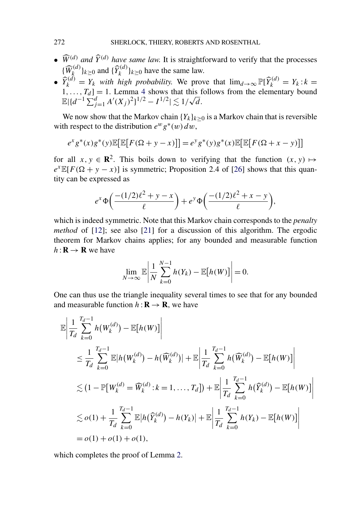- $\widehat{W}^{(d)}$  *and*  $\widehat{Y}^{(d)}$  *have same law.* It is straightforward to verify that the processes  ${\{\widehat{W}_k^{(d)}\}_{k \geq 0}}$  and  ${\{\widehat{Y}_k^{(d)}\}_{k \geq 0}}$  have the same law.
- $\widehat{Y}_k^{(d)} = Y_k$  *with high probability.* We prove that  $\lim_{d\to\infty} \mathbb{P}[\widehat{Y}_k^{(d)}] = Y_k : k =$  $1, \ldots, T_d$ ] = 1. Lemma [4](#page-32-0) shows that this follows from the elementary bound  $\mathbb{E}[\{d^{-1}\sum_{j=1}^d A'(X_j)^2\}^{1/2} - I^{1/2}| \lesssim 1/\sqrt{d}$ .

We now show that the Markov chain  ${Y_k}_{k\geq 0}$  is a Markov chain that is reversible with respect to the distribution  $e^w g^*(w) dw$ ,

$$
e^{x}g^{*}(x)g^{*}(y)\mathbb{E}[\mathbb{E}[F(\Omega+y-x)]] = e^{y}g^{*}(y)g^{*}(x)\mathbb{E}[\mathbb{E}[F(\Omega+x-y)]]
$$

for all  $x, y \in \mathbb{R}^2$ . This boils down to verifying that the function  $(x, y) \mapsto$  $e^{x} \mathbb{E}[F(\Omega + y - x)]$  is symmetric; Proposition 2.4 of [\[26\]](#page-36-0) shows that this quantity can be expressed as

$$
e^x \Phi\left(\frac{-(1/2)\ell^2 + y - x}{\ell}\right) + e^y \Phi\left(\frac{-(1/2)\ell^2 + x - y}{\ell}\right),
$$

which is indeed symmetric. Note that this Markov chain corresponds to the *penalty method* of [\[12\]](#page-36-0); see also [\[21\]](#page-36-0) for a discussion of this algorithm. The ergodic theorem for Markov chains applies; for any bounded and measurable function  $h: \mathbf{R} \to \mathbf{R}$  we have

$$
\lim_{N\to\infty}\mathbb{E}\left|\frac{1}{N}\sum_{k=0}^{N-1}h(Y_k)-\mathbb{E}[h(W)]\right|=0.
$$

One can thus use the triangle inequality several times to see that for any bounded and measurable function  $h: \mathbf{R} \to \mathbf{R}$ , we have

$$
\mathbb{E}\left|\frac{1}{T_d}\sum_{k=0}^{T_d-1} h(W_k^{(d)}) - \mathbb{E}[h(W)]\right|
$$
\n
$$
\leq \frac{1}{T_d}\sum_{k=0}^{T_d-1} \mathbb{E}|h(W_k^{(d)}) - h(\widehat{W}_k^{(d)})| + \mathbb{E}\left|\frac{1}{T_d}\sum_{k=0}^{T_d-1} h(\widehat{W}_k^{(d)}) - \mathbb{E}[h(W)]\right|
$$
\n
$$
\lesssim (1 - \mathbb{P}[W_k^{(d)} = \widehat{W}_k^{(d)} : k = 1, ..., T_d]) + \mathbb{E}\left|\frac{1}{T_d}\sum_{k=0}^{T_d-1} h(\widehat{Y}_k^{(d)}) - \mathbb{E}[h(W)]\right|
$$
\n
$$
\lesssim o(1) + \frac{1}{T_d}\sum_{k=0}^{T_d-1} \mathbb{E}|h(\widehat{Y}_k^{(d)}) - h(Y_k)| + \mathbb{E}\left|\frac{1}{T_d}\sum_{k=0}^{T_d-1} h(Y_k) - \mathbb{E}[h(W)]\right|
$$
\n
$$
= o(1) + o(1) + o(1),
$$

which completes the proof of Lemma [2.](#page-24-0)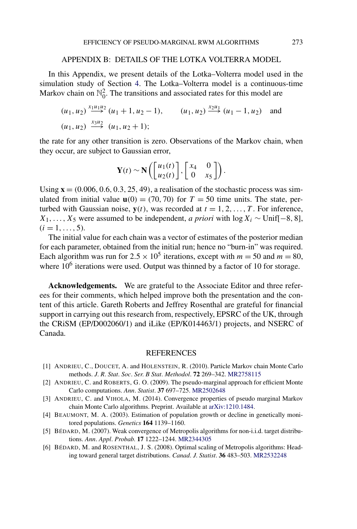### APPENDIX B: DETAILS OF THE LOTKA VOLTERRA MODEL

<span id="page-35-0"></span>In this Appendix, we present details of the Lotka–Volterra model used in the simulation study of Section [4.](#page-15-0) The Lotka–Volterra model is a continuous-time Markov chain on  $\mathbb{N}_0^2$ . The transitions and associated rates for this model are

$$
(u_1, u_2) \xrightarrow{x_1u_1u_2} (u_1 + 1, u_2 - 1), \qquad (u_1, u_2) \xrightarrow{x_2u_1} (u_1 - 1, u_2) \quad \text{and}
$$
  

$$
(u_1, u_2) \xrightarrow{x_3u_2} (u_1, u_2 + 1);
$$

the rate for any other transition is zero. Observations of the Markov chain, when they occur, are subject to Gaussian error,

$$
\mathbf{Y}(t) \sim \mathbf{N}\left(\begin{bmatrix} u_1(t) \\ u_2(t) \end{bmatrix}, \begin{bmatrix} x_4 & 0 \\ 0 & x_5 \end{bmatrix}\right).
$$

Using  $\mathbf{x} = (0.006, 0.6, 0.3, 25, 49)$ , a realisation of the stochastic process was simulated from initial value  $\mathbf{u}(0) = (70, 70)$  for  $T = 50$  time units. The state, perturbed with Gaussian noise,  $y(t)$ , was recorded at  $t = 1, 2, \ldots, T$ . For inference,  $X_1, \ldots, X_5$  were assumed to be independent, *a priori* with log  $X_i \sim \text{Unif}[-8, 8]$ ,  $(i = 1, \ldots, 5)$ .

The initial value for each chain was a vector of estimates of the posterior median for each parameter, obtained from the initial run; hence no "burn-in" was required. Each algorithm was run for  $2.5 \times 10^5$  iterations, except with  $m = 50$  and  $m = 80$ , where  $10<sup>6</sup>$  iterations were used. Output was thinned by a factor of 10 for storage.

**Acknowledgements.** We are grateful to the Associate Editor and three referees for their comments, which helped improve both the presentation and the content of this article. Gareth Roberts and Jeffrey Rosenthal are grateful for financial support in carrying out this research from, respectively, EPSRC of the UK, through the CRiSM (EP/D002060/1) and iLike (EP/K014463/1) projects, and NSERC of Canada.

#### REFERENCES

- [1] ANDRIEU, C., DOUCET, A. and HOLENSTEIN, R. (2010). Particle Markov chain Monte Carlo methods. *J*. *R*. *Stat*. *Soc*. *Ser*. *B Stat*. *Methodol*. **72** 269–342. [MR2758115](http://www.ams.org/mathscinet-getitem?mr=2758115)
- [2] ANDRIEU, C. and ROBERTS, G. O. (2009). The pseudo-marginal approach for efficient Monte Carlo computations. *Ann*. *Statist*. **37** 697–725. [MR2502648](http://www.ams.org/mathscinet-getitem?mr=2502648)
- [3] ANDRIEU, C. and VIHOLA, M. (2014). Convergence properties of pseudo marginal Markov chain Monte Carlo algorithms. Preprint. Available at [arXiv:1210.1484](http://arxiv.org/abs/arXiv:1210.1484).
- [4] BEAUMONT, M. A. (2003). Estimation of population growth or decline in genetically monitored populations. *Genetics* **164** 1139–1160.
- [5] BÉDARD, M. (2007). Weak convergence of Metropolis algorithms for non-i.i.d. target distributions. *Ann*. *Appl*. *Probab*. **17** 1222–1244. [MR2344305](http://www.ams.org/mathscinet-getitem?mr=2344305)
- [6] BÉDARD, M. and ROSENTHAL, J. S. (2008). Optimal scaling of Metropolis algorithms: Heading toward general target distributions. *Canad*. *J*. *Statist*. **36** 483–503. [MR2532248](http://www.ams.org/mathscinet-getitem?mr=2532248)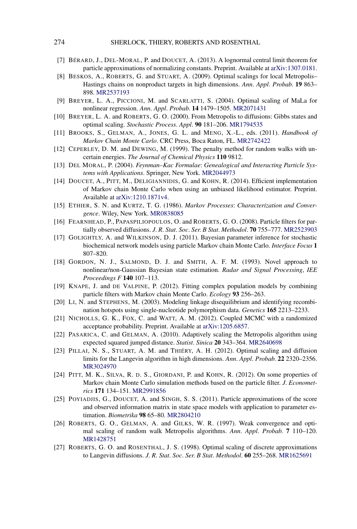- <span id="page-36-0"></span>[7] BÉRARD, J., DEL-MORAL, P. and DOUCET, A. (2013). A lognormal central limit theorem for particle approximations of normalizing constants. Preprint. Available at [arXiv:1307.0181.](http://arxiv.org/abs/arXiv:1307.0181)
- [8] BESKOS, A., ROBERTS, G. and STUART, A. (2009). Optimal scalings for local Metropolis– Hastings chains on nonproduct targets in high dimensions. *Ann*. *Appl*. *Probab*. **19** 863– 898. [MR2537193](http://www.ams.org/mathscinet-getitem?mr=2537193)
- [9] BREYER, L. A., PICCIONI, M. and SCARLATTI, S. (2004). Optimal scaling of MaLa for nonlinear regression. *Ann*. *Appl*. *Probab*. **14** 1479–1505. [MR2071431](http://www.ams.org/mathscinet-getitem?mr=2071431)
- [10] BREYER, L. A. and ROBERTS, G. O. (2000). From Metropolis to diffusions: Gibbs states and optimal scaling. *Stochastic Process*. *Appl*. **90** 181–206. [MR1794535](http://www.ams.org/mathscinet-getitem?mr=1794535)
- [11] BROOKS, S., GELMAN, A., JONES, G. L. and MENG, X.-L., eds. (2011). *Handbook of Markov Chain Monte Carlo*. CRC Press, Boca Raton, FL. [MR2742422](http://www.ams.org/mathscinet-getitem?mr=2742422)
- [12] CEPERLEY, D. M. and DEWING, M. (1999). The penalty method for random walks with uncertain energies. *The Journal of Chemical Physics* **110** 9812.
- [13] DEL MORAL, P. (2004). *Feynman–Kac Formulae*: *Genealogical and Interacting Particle Systems with Applications*. Springer, New York. [MR2044973](http://www.ams.org/mathscinet-getitem?mr=2044973)
- [14] DOUCET, A., PITT, M., DELIGIANNIDIS, G. and KOHN, R. (2014). Efficient implementation of Markov chain Monte Carlo when using an unbiased likelihood estimator. Preprint. Available at [arXiv:1210.1871v4.](http://arxiv.org/abs/arXiv:1210.1871v4)
- [15] ETHIER, S. N. and KURTZ, T. G. (1986). *Markov Processes*: *Characterization and Convergence*. Wiley, New York. [MR0838085](http://www.ams.org/mathscinet-getitem?mr=0838085)
- [16] FEARNHEAD, P., PAPASPILIOPOULOS, O. and ROBERTS, G. O. (2008). Particle filters for partially observed diffusions. *J*. *R*. *Stat*. *Soc*. *Ser*. *B Stat*. *Methodol*. **70** 755–777. [MR2523903](http://www.ams.org/mathscinet-getitem?mr=2523903)
- [17] GOLIGHTLY, A. and WILKINSON, D. J. (2011). Bayesian parameter inference for stochastic biochemical network models using particle Markov chain Monte Carlo. *Interface Focus* **1** 807–820.
- [18] GORDON, N. J., SALMOND, D. J. and SMITH, A. F. M. (1993). Novel approach to nonlinear/non-Gaussian Bayesian state estimation. *Radar and Signal Processing*, *IEE Proceedings F* **140** 107–113.
- [19] KNAPE, J. and DE VALPINE, P. (2012). Fitting complex population models by combining particle filters with Markov chain Monte Carlo. *Ecology* **93** 256–263.
- [20] LI, N. and STEPHENS, M. (2003). Modeling linkage disequilibrium and identifying recombination hotspots using single-nucleotide polymorphism data. *Genetics* **165** 2213–2233.
- [21] NICHOLLS, G. K., FOX, C. and WATT, A. M. (2012). Coupled MCMC with a randomized acceptance probability. Preprint. Available at [arXiv:1205.6857](http://arxiv.org/abs/arXiv:1205.6857).
- [22] PASARICA, C. and GELMAN, A. (2010). Adaptively scaling the Metropolis algorithm using expected squared jumped distance. *Statist*. *Sinica* **20** 343–364. [MR2640698](http://www.ams.org/mathscinet-getitem?mr=2640698)
- [23] PILLAI, N. S., STUART, A. M. and THIÉRY, A. H. (2012). Optimal scaling and diffusion limits for the Langevin algorithm in high dimensions. *Ann*. *Appl*. *Probab*. **22** 2320–2356. [MR3024970](http://www.ams.org/mathscinet-getitem?mr=3024970)
- [24] PITT, M. K., SILVA, R. D. S., GIORDANI, P. and KOHN, R. (2012). On some properties of Markov chain Monte Carlo simulation methods based on the particle filter. *J*. *Econometrics* **171** 134–151. [MR2991856](http://www.ams.org/mathscinet-getitem?mr=2991856)
- [25] POYIADJIS, G., DOUCET, A. and SINGH, S. S. (2011). Particle approximations of the score and observed information matrix in state space models with application to parameter estimation. *Biometrika* **98** 65–80. [MR2804210](http://www.ams.org/mathscinet-getitem?mr=2804210)
- [26] ROBERTS, G. O., GELMAN, A. and GILKS, W. R. (1997). Weak convergence and optimal scaling of random walk Metropolis algorithms. *Ann*. *Appl*. *Probab*. **7** 110–120. [MR1428751](http://www.ams.org/mathscinet-getitem?mr=1428751)
- [27] ROBERTS, G. O. and ROSENTHAL, J. S. (1998). Optimal scaling of discrete approximations to Langevin diffusions. *J*. *R*. *Stat*. *Soc*. *Ser*. *B Stat*. *Methodol*. **60** 255–268. [MR1625691](http://www.ams.org/mathscinet-getitem?mr=1625691)